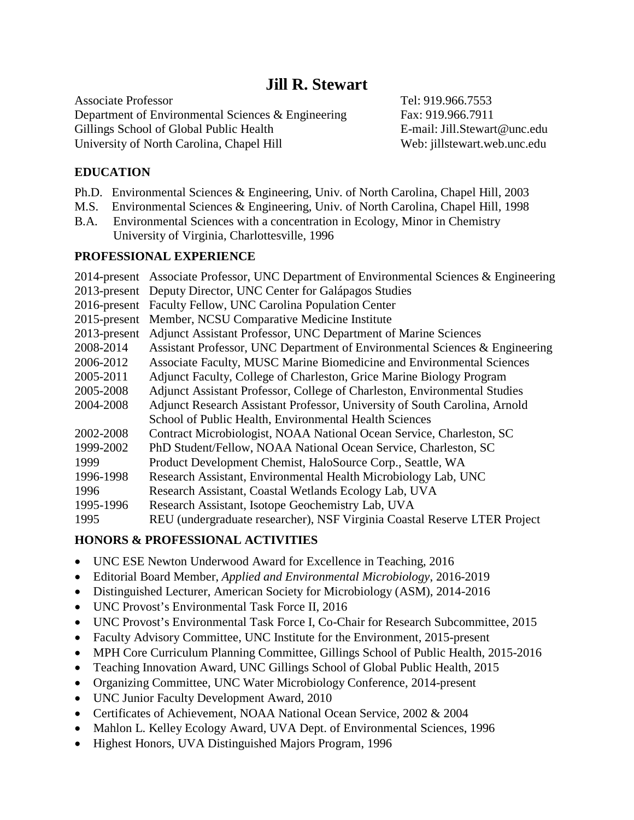Associate Professor **Tel: 919.966.7553** Department of Environmental Sciences & Engineering Fax: 919.966.7911 Gillings School of Global Public Health E-mail: Jill.Stewart@unc.edu University of North Carolina, Chapel Hill Web: jillstewart.web.unc.edu

# **EDUCATION**

- Ph.D. Environmental Sciences & Engineering, Univ. of North Carolina, Chapel Hill, 2003
- M.S. Environmental Sciences & Engineering, Univ. of North Carolina, Chapel Hill, 1998
- B.A. Environmental Sciences with a concentration in Ecology, Minor in Chemistry University of Virginia, Charlottesville, 1996

# **PROFESSIONAL EXPERIENCE**

|                 | 2014-present Associate Professor, UNC Department of Environmental Sciences & Engineering |
|-----------------|------------------------------------------------------------------------------------------|
|                 | 2013-present Deputy Director, UNC Center for Galápagos Studies                           |
|                 | 2016-present Faculty Fellow, UNC Carolina Population Center                              |
| $2015$ -present | Member, NCSU Comparative Medicine Institute                                              |
| $2013$ -present | Adjunct Assistant Professor, UNC Department of Marine Sciences                           |
| 2008-2014       | Assistant Professor, UNC Department of Environmental Sciences & Engineering              |
| 2006-2012       | Associate Faculty, MUSC Marine Biomedicine and Environmental Sciences                    |
| 2005-2011       | Adjunct Faculty, College of Charleston, Grice Marine Biology Program                     |
| 2005-2008       | Adjunct Assistant Professor, College of Charleston, Environmental Studies                |
| 2004-2008       | Adjunct Research Assistant Professor, University of South Carolina, Arnold               |
|                 | School of Public Health, Environmental Health Sciences                                   |
| 2002-2008       | Contract Microbiologist, NOAA National Ocean Service, Charleston, SC                     |
| 1999-2002       | PhD Student/Fellow, NOAA National Ocean Service, Charleston, SC                          |
| 1999            | Product Development Chemist, HaloSource Corp., Seattle, WA                               |
| 1996-1998       | Research Assistant, Environmental Health Microbiology Lab, UNC                           |
| 1996            | Research Assistant, Coastal Wetlands Ecology Lab, UVA                                    |
| 1995-1996       | Research Assistant, Isotope Geochemistry Lab, UVA                                        |
| 1995            | REU (undergraduate researcher), NSF Virginia Coastal Reserve LTER Project                |

# **HONORS & PROFESSIONAL ACTIVITIES**

- UNC ESE Newton Underwood Award for Excellence in Teaching, 2016
- Editorial Board Member, *Applied and Environmental Microbiology*, 2016-2019
- Distinguished Lecturer, American Society for Microbiology (ASM), 2014-2016
- UNC Provost's Environmental Task Force II, 2016
- UNC Provost's Environmental Task Force I, Co-Chair for Research Subcommittee, 2015
- Faculty Advisory Committee, UNC Institute for the Environment, 2015-present
- MPH Core Curriculum Planning Committee, Gillings School of Public Health, 2015-2016
- Teaching Innovation Award, UNC Gillings School of Global Public Health, 2015
- Organizing Committee, UNC Water Microbiology Conference, 2014-present
- UNC Junior Faculty Development Award, 2010
- Certificates of Achievement, NOAA National Ocean Service, 2002 & 2004
- Mahlon L. Kelley Ecology Award, UVA Dept. of Environmental Sciences, 1996
- Highest Honors, UVA Distinguished Majors Program, 1996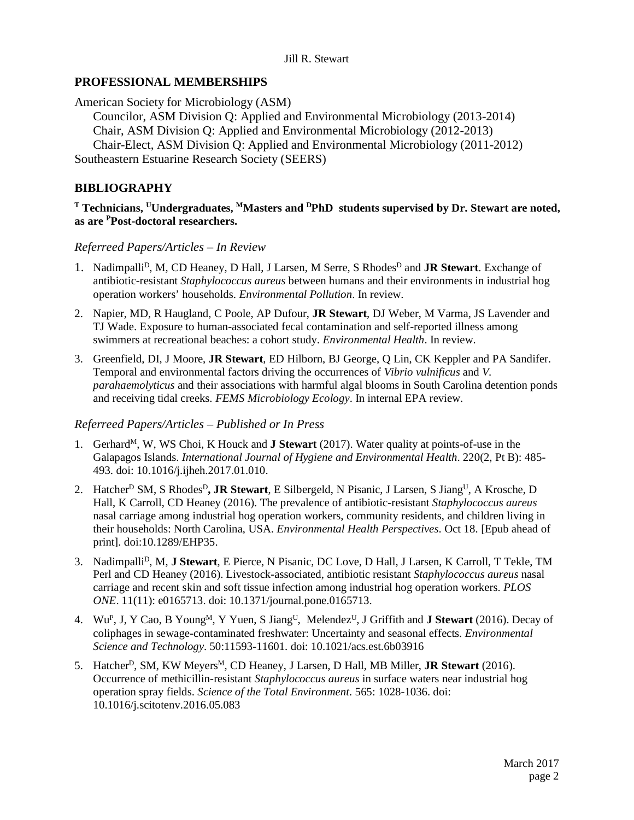# **PROFESSIONAL MEMBERSHIPS**

American Society for Microbiology (ASM)

Councilor, ASM Division Q: Applied and Environmental Microbiology (2013-2014) Chair, ASM Division Q: Applied and Environmental Microbiology (2012-2013) Chair-Elect, ASM Division Q: Applied and Environmental Microbiology (2011-2012)

Southeastern Estuarine Research Society (SEERS)

# **BIBLIOGRAPHY**

# **<sup>T</sup> Technicians, UUndergraduates, MMasters and DPhD students supervised by Dr. Stewart are noted, as are PPost-doctoral researchers.**

### *Referreed Papers/Articles – In Review*

- 1. Nadimpalli<sup>D</sup>, M, CD Heaney, D Hall, J Larsen, M Serre, S Rhodes<sup>D</sup> and **JR Stewart**. Exchange of antibiotic-resistant *Staphylococcus aureus* between humans and their environments in industrial hog operation workers' households. *Environmental Pollution*. In review.
- 2. Napier, MD, R Haugland, C Poole, AP Dufour, **JR Stewart**, DJ Weber, M Varma, JS Lavender and TJ Wade. Exposure to human-associated fecal contamination and self-reported illness among swimmers at recreational beaches: a cohort study. *Environmental Health*. In review.
- 3. Greenfield, DI, J Moore, **JR Stewart**, ED Hilborn, BJ George, Q Lin, CK Keppler and PA Sandifer. Temporal and environmental factors driving the occurrences of *Vibrio vulnificus* and *V. parahaemolyticus* and their associations with harmful algal blooms in South Carolina detention ponds and receiving tidal creeks. *FEMS Microbiology Ecology*. In internal EPA review.

### *Referreed Papers/Articles – Published or In Press*

- 1. Gerhard<sup>M</sup>, W, WS Choi, K Houck and **J Stewart** (2017). Water quality at points-of-use in the Galapagos Islands. *International Journal of Hygiene and Environmental Health*. 220(2, Pt B): 485- 493. doi: 10.1016/j.ijheh.2017.01.010.
- 2. Hatcher<sup>D</sup> SM, S Rhodes<sup>D</sup>, **JR Stewart**, E Silbergeld, N Pisanic, J Larsen, S Jiang<sup>U</sup>, A Krosche, D Hall, K Carroll, CD Heaney (2016). The prevalence of antibiotic-resistant *Staphylococcus aureus* nasal carriage among industrial hog operation workers, community residents, and children living in their households: North Carolina, USA. *Environmental Health Perspectives*. Oct 18. [Epub ahead of print]. doi:10.1289/EHP35.
- 3. NadimpalliD, M, **J Stewart**, E Pierce, N Pisanic, DC Love, D Hall, J Larsen, K Carroll, T Tekle, TM Perl and CD Heaney (2016). Livestock-associated, antibiotic resistant *Staphylococcus aureus* nasal carriage and recent skin and soft tissue infection among industrial hog operation workers. *PLOS ONE*. 11(11): e0165713. doi: 10.1371/journal.pone.0165713.
- 4. WuP, J, Y Cao, B YoungM, Y Yuen, S JiangU, MelendezU, J Griffith and **J Stewart** (2016). Decay of coliphages in sewage-contaminated freshwater: Uncertainty and seasonal effects. *Environmental Science and Technology*. 50:11593-11601. doi: 10.1021/acs.est.6b03916
- 5. Hatcher<sup>D</sup>, SM, KW Meyers<sup>M</sup>, CD Heaney, J Larsen, D Hall, MB Miller, **JR Stewart** (2016). Occurrence of methicillin-resistant *Staphylococcus aureus* in surface waters near industrial hog operation spray fields. *Science of the Total Environment*. 565: 1028-1036. doi: 10.1016/j.scitotenv.2016.05.083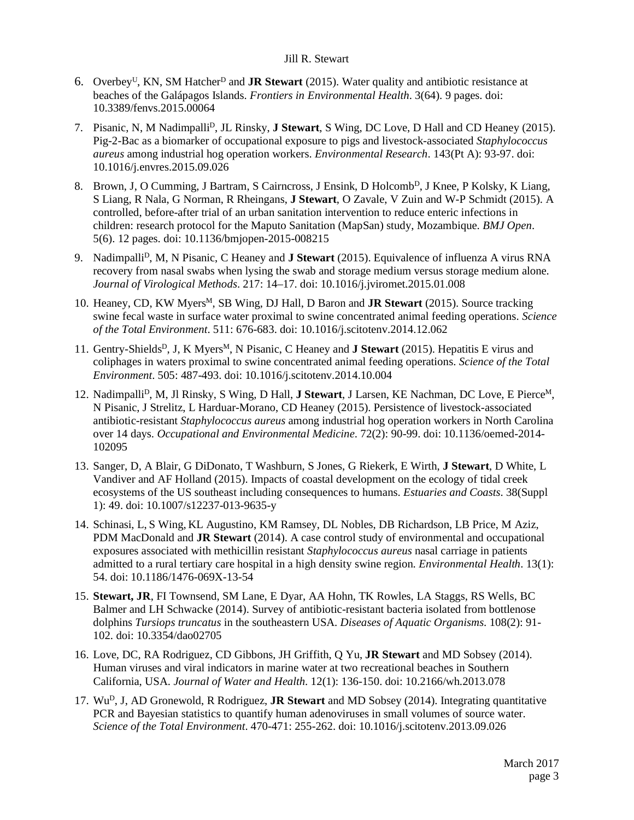- 6. OverbeyU, KN, SM HatcherD and **JR Stewart** (2015). Water quality and antibiotic resistance at beaches of the Galápagos Islands. *Frontiers in Environmental Health*. 3(64). 9 pages. doi: 10.3389/fenvs.2015.00064
- 7. Pisanic, N, M NadimpalliD, JL Rinsky, **J Stewart**, S Wing, DC Love, D Hall and CD Heaney (2015). Pig-2-Bac as a biomarker of occupational exposure to pigs and livestock-associated *Staphylococcus aureus* among industrial hog operation workers. *Environmental Research*. 143(Pt A): 93-97. doi: 10.1016/j.envres.2015.09.026
- 8. Brown, J, O Cumming, J Bartram, S Cairncross, J Ensink, D Holcomb<sup>D</sup>, J Knee, P Kolsky, K Liang, S Liang, R Nala, G Norman, R Rheingans, **J Stewart**, O Zavale, V Zuin and W-P Schmidt (2015). A controlled, before-after trial of an urban sanitation intervention to reduce enteric infections in children: research protocol for the Maputo Sanitation (MapSan) study, Mozambique. *BMJ Open*. 5(6). 12 pages. doi: 10.1136/bmjopen-2015-008215
- 9. NadimpalliD, M, N Pisanic, C Heaney and **J Stewart** (2015). Equivalence of influenza A virus RNA recovery from nasal swabs when lysing the swab and storage medium versus storage medium alone. *Journal of Virological Methods*. 217: 14–17. doi: 10.1016/j.jviromet.2015.01.008
- 10. Heaney, CD, KW MyersM, SB Wing, DJ Hall, D Baron and **JR Stewart** (2015). Source tracking swine fecal waste in surface water proximal to swine concentrated animal feeding operations. *Science of the Total Environment*. 511: 676-683. doi: 10.1016/j.scitotenv.2014.12.062
- 11. Gentry-Shields<sup>D</sup>, J, K Myers<sup>M</sup>, N Pisanic, C Heaney and **J Stewart** (2015). Hepatitis E virus and coliphages in waters proximal to swine concentrated animal feeding operations. *Science of the Total Environment*. 505: 487-493. doi: 10.1016/j.scitotenv.2014.10.004
- 12. NadimpalliD, M, Jl Rinsky, S Wing, D Hall, **J Stewart**, J Larsen, KE Nachman, DC Love, E PierceM, N Pisanic, J Strelitz, L Harduar-Morano, CD Heaney (2015). Persistence of livestock-associated antibiotic-resistant *Staphylococcus aureus* among industrial hog operation workers in North Carolina over 14 days. *Occupational and Environmental Medicine*. 72(2): 90-99. doi: 10.1136/oemed-2014- 102095
- 13. Sanger, D, A Blair, G DiDonato, T Washburn, S Jones, G Riekerk, E Wirth, **J Stewart**, D White, L Vandiver and AF Holland (2015). Impacts of coastal development on the ecology of tidal creek ecosystems of the US southeast including consequences to humans. *Estuaries and Coasts*. 38(Suppl 1): 49. doi: 10.1007/s12237-013-9635-y
- 14. Schinasi, L, S Wing, KL Augustino, KM Ramsey, DL Nobles, DB Richardson, LB Price, M Aziz, PDM MacDonald and **JR Stewart** (2014). A case control study of environmental and occupational exposures associated with methicillin resistant *Staphylococcus aureus* nasal carriage in patients admitted to a rural tertiary care hospital in a high density swine region. *Environmental Health*. 13(1): 54. doi: 10.1186/1476-069X-13-54
- 15. **Stewart, JR**, FI Townsend, SM Lane, E Dyar, AA Hohn, TK Rowles, LA Staggs, RS Wells, BC Balmer and LH Schwacke (2014). Survey of antibiotic-resistant bacteria isolated from bottlenose dolphins *Tursiops truncatus* in the southeastern USA. *Diseases of Aquatic Organisms*. 108(2): 91- 102. doi: 10.3354/dao02705
- 16. Love, DC, RA Rodriguez, CD Gibbons, JH Griffith, Q Yu, **JR Stewart** and MD Sobsey (2014). Human viruses and viral indicators in marine water at two recreational beaches in Southern California, USA. *Journal of Water and Health*. 12(1): 136-150. doi: 10.2166/wh.2013.078
- 17. Wu<sup>D</sup>, J, AD Gronewold, R Rodriguez, **JR Stewart** and MD Sobsey (2014). Integrating quantitative PCR and Bayesian statistics to quantify human adenoviruses in small volumes of source water. *Science of the Total Environment*. 470-471: 255-262. doi: 10.1016/j.scitotenv.2013.09.026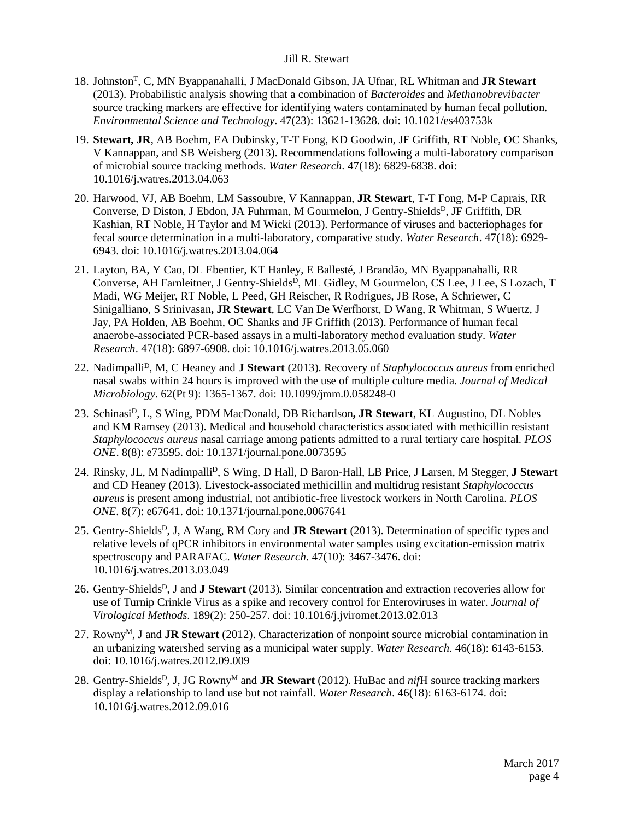- 18. JohnstonT, C, MN Byappanahalli, J MacDonald Gibson, JA Ufnar, RL Whitman and **JR Stewart** (2013). Probabilistic analysis showing that a combination of *Bacteroides* and *Methanobrevibacter*  source tracking markers are effective for identifying waters contaminated by human fecal pollution. *Environmental Science and Technology*. 47(23): 13621-13628. doi: 10.1021/es403753k
- 19. **Stewart, JR**, AB Boehm, EA Dubinsky, T-T Fong, KD Goodwin, JF Griffith, RT Noble, OC Shanks, V Kannappan, and SB Weisberg (2013). Recommendations following a multi-laboratory comparison of microbial source tracking methods. *Water Research*. 47(18): 6829-6838. doi: 10.1016/j.watres.2013.04.063
- 20. Harwood, VJ, AB Boehm, LM Sassoubre, V Kannappan, **JR Stewart**, T-T Fong, M-P Caprais, RR Converse, D Diston, J Ebdon, JA Fuhrman, M Gourmelon, J Gentry-Shields<sup>D</sup>, JF Griffith, DR Kashian, RT Noble, H Taylor and M Wicki (2013). Performance of viruses and bacteriophages for fecal source determination in a multi-laboratory, comparative study. *Water Research*. 47(18): 6929- 6943. doi: 10.1016/j.watres.2013.04.064
- 21. Layton, BA, Y Cao, DL Ebentier, KT Hanley, E Ballesté, J Brandão, MN Byappanahalli, RR Converse, AH Farnleitner, J Gentry-Shields<sup>D</sup>, ML Gidley, M Gourmelon, CS Lee, J Lee, S Lozach, T Madi, WG Meijer, RT Noble, L Peed, GH Reischer, R Rodrigues, JB Rose, A Schriewer, C Sinigalliano, S Srinivasan**, JR Stewart**, LC Van De Werfhorst, D Wang, R Whitman, S Wuertz, J Jay, PA Holden, AB Boehm, OC Shanks and JF Griffith (2013). Performance of human fecal anaerobe-associated PCR-based assays in a multi-laboratory method evaluation study. *Water Research*. 47(18): 6897-6908. doi: 10.1016/j.watres.2013.05.060
- 22. NadimpalliD, M, C Heaney and **J Stewart** (2013). Recovery of *Staphylococcus aureus* from enriched nasal swabs within 24 hours is improved with the use of multiple culture media. *Journal of Medical Microbiology*. 62(Pt 9): 1365-1367. doi: 10.1099/jmm.0.058248-0
- 23. SchinasiD, L, S Wing, PDM MacDonald, DB Richardson**, JR Stewart**, KL Augustino, DL Nobles and KM Ramsey (2013). Medical and household characteristics associated with methicillin resistant *Staphylococcus aureus* nasal carriage among patients admitted to a rural tertiary care hospital. *PLOS ONE*. 8(8): e73595. doi: 10.1371/journal.pone.0073595
- 24. Rinsky, JL, M Nadimpalli<sup>D</sup>, S Wing, D Hall, D Baron-Hall, LB Price, J Larsen, M Stegger, J Stewart and CD Heaney (2013). Livestock-associated methicillin and multidrug resistant *Staphylococcus aureus* is present among industrial, not antibiotic-free livestock workers in North Carolina. *PLOS ONE*. 8(7): e67641. doi: 10.1371/journal.pone.0067641
- 25. Gentry-ShieldsD, J, A Wang, RM Cory and **JR Stewart** (2013). Determination of specific types and relative levels of qPCR inhibitors in environmental water samples using excitation-emission matrix spectroscopy and PARAFAC. *Water Research*. 47(10): 3467-3476. doi: 10.1016/j.watres.2013.03.049
- 26. Gentry-Shields<sup>D</sup>, J and **J Stewart** (2013). Similar concentration and extraction recoveries allow for use of Turnip Crinkle Virus as a spike and recovery control for Enteroviruses in water. *Journal of Virological Methods*. 189(2): 250-257. doi: 10.1016/j.jviromet.2013.02.013
- 27. Rowny<sup>M</sup>, J and JR Stewart (2012). Characterization of nonpoint source microbial contamination in an urbanizing watershed serving as a municipal water supply. *Water Research*. 46(18): 6143-6153. doi: 10.1016/j.watres.2012.09.009
- 28. Gentry-Shields<sup>D</sup>, J, JG Rowny<sup>M</sup> and **JR Stewart** (2012). HuBac and *nifH* source tracking markers display a relationship to land use but not rainfall. *Water Research*. 46(18): 6163-6174. doi: 10.1016/j.watres.2012.09.016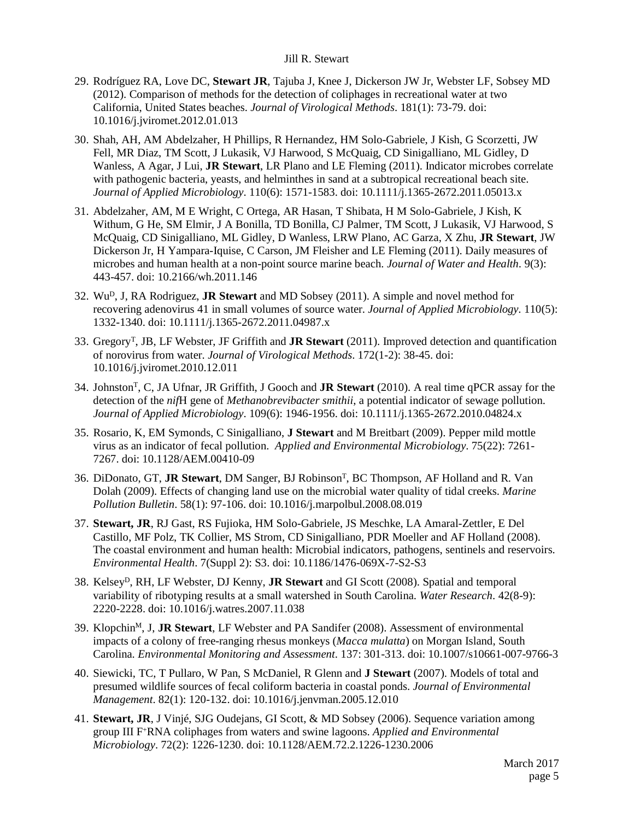- 29. Rodríguez RA, Love DC, **Stewart JR**, Tajuba J, Knee J, Dickerson JW Jr, Webster LF, Sobsey MD (2012). Comparison of methods for the detection of coliphages in recreational water at two California, United States beaches. *Journal of Virological Methods*. 181(1): 73-79. doi: 10.1016/j.jviromet.2012.01.013
- 30. Shah, AH, AM Abdelzaher, H Phillips, R Hernandez, HM Solo-Gabriele, J Kish, G Scorzetti, JW Fell, MR Diaz, TM Scott, J Lukasik, VJ Harwood, S McQuaig, CD Sinigalliano, ML Gidley, D Wanless, A Agar, J Lui, **JR Stewart**, LR Plano and LE Fleming (2011). Indicator microbes correlate with pathogenic bacteria, yeasts, and helminthes in sand at a subtropical recreational beach site. *Journal of Applied Microbiology*. 110(6): 1571-1583. doi: 10.1111/j.1365-2672.2011.05013.x
- 31. Abdelzaher, AM, M E Wright, C Ortega, AR Hasan, T Shibata, H M Solo-Gabriele, J Kish, K Withum, G He, SM Elmir, J A Bonilla, TD Bonilla, CJ Palmer, TM Scott, J Lukasik, VJ Harwood, S McQuaig, CD Sinigalliano, ML Gidley, D Wanless, LRW Plano, AC Garza, X Zhu, **JR Stewart**, JW Dickerson Jr, H Yampara-Iquise, C Carson, JM Fleisher and LE Fleming (2011). Daily measures of microbes and human health at a non-point source marine beach. *Journal of Water and Health*. 9(3): 443-457. doi: 10.2166/wh.2011.146
- 32. WuD, J, RA Rodriguez, **JR Stewart** and MD Sobsey (2011). A simple and novel method for recovering adenovirus 41 in small volumes of source water. *Journal of Applied Microbiology*. 110(5): 1332-1340. doi: 10.1111/j.1365-2672.2011.04987.x
- 33. GregoryT, JB, LF Webster, JF Griffith and **JR Stewart** (2011). Improved detection and quantification of norovirus from water. *Journal of Virological Methods*. 172(1-2): 38-45. doi: 10.1016/j.jviromet.2010.12.011
- 34. JohnstonT, C, JA Ufnar, JR Griffith, J Gooch and **JR Stewart** (2010). A real time qPCR assay for the detection of the *nif*H gene of *Methanobrevibacter smithii*, a potential indicator of sewage pollution. *Journal of Applied Microbiology*. 109(6): 1946-1956. doi: 10.1111/j.1365-2672.2010.04824.x
- 35. Rosario, K, EM Symonds, C Sinigalliano, **J Stewart** and M Breitbart (2009). Pepper mild mottle virus as an indicator of fecal pollution. *Applied and Environmental Microbiology*. 75(22): 7261- 7267. doi: 10.1128/AEM.00410-09
- 36. DiDonato, GT, **JR Stewart**, DM Sanger, BJ RobinsonT, BC Thompson, AF Holland and R. Van Dolah (2009). Effects of changing land use on the microbial water quality of tidal creeks. *Marine Pollution Bulletin*. 58(1): 97-106. doi: 10.1016/j.marpolbul.2008.08.019
- 37. **Stewart, JR**, RJ Gast, RS Fujioka, HM Solo-Gabriele, JS Meschke, LA Amaral-Zettler, E Del Castillo, MF Polz, TK Collier, MS Strom, CD Sinigalliano, PDR Moeller and AF Holland (2008). The coastal environment and human health: Microbial indicators, pathogens, sentinels and reservoirs. *Environmental Health*. 7(Suppl 2): S3. doi: 10.1186/1476-069X-7-S2-S3
- 38. KelseyD, RH, LF Webster, DJ Kenny, **JR Stewart** and GI Scott (2008). Spatial and temporal variability of ribotyping results at a small watershed in South Carolina. *Water Research*. 42(8-9): 2220-2228. doi: 10.1016/j.watres.2007.11.038
- 39. KlopchinM, J, **JR Stewart**, LF Webster and PA Sandifer (2008). Assessment of environmental impacts of a colony of free-ranging rhesus monkeys (*Macca mulatta*) on Morgan Island, South Carolina. *Environmental Monitoring and Assessment*. 137: 301-313. doi: 10.1007/s10661-007-9766-3
- 40. Siewicki, TC, T Pullaro, W Pan, S McDaniel, R Glenn and **J Stewart** (2007). Models of total and presumed wildlife sources of fecal coliform bacteria in coastal ponds. *Journal of Environmental Management*. 82(1): 120-132. doi: 10.1016/j.jenvman.2005.12.010
- 41. **Stewart, JR**, J Vinjé, SJG Oudejans, GI Scott, & MD Sobsey (2006). Sequence variation among group III F+RNA coliphages from waters and swine lagoons. *Applied and Environmental Microbiology*. 72(2): 1226-1230. doi: 10.1128/AEM.72.2.1226-1230.2006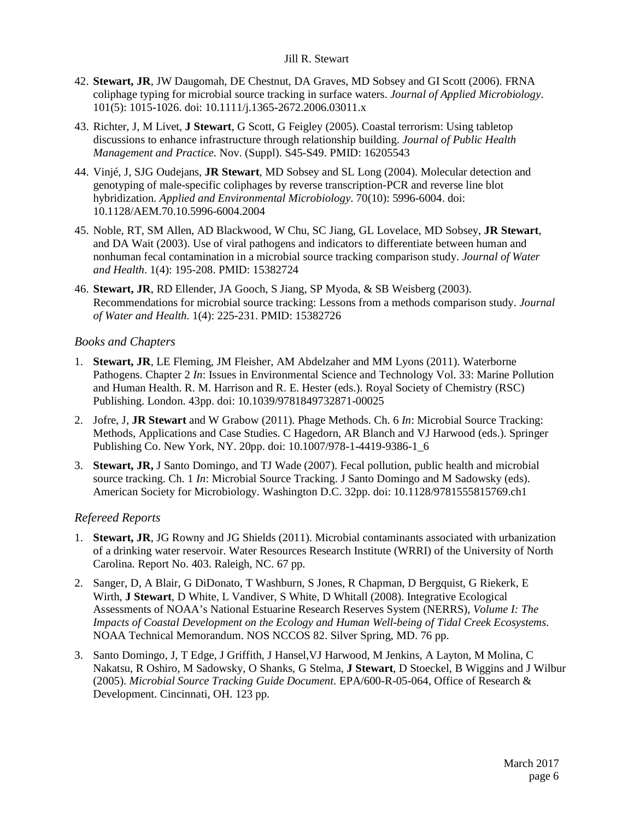- 42. **Stewart, JR**, JW Daugomah, DE Chestnut, DA Graves, MD Sobsey and GI Scott (2006). FRNA coliphage typing for microbial source tracking in surface waters. *Journal of Applied Microbiology*. 101(5): 1015-1026. doi: 10.1111/j.1365-2672.2006.03011.x
- 43. Richter, J, M Livet, **J Stewart**, G Scott, G Feigley (2005). Coastal terrorism: Using tabletop discussions to enhance infrastructure through relationship building. *Journal of Public Health Management and Practice*. Nov. (Suppl). S45-S49. PMID: 16205543
- 44. Vinjé, J, SJG Oudejans, **JR Stewart**, MD Sobsey and SL Long (2004). Molecular detection and genotyping of male-specific coliphages by reverse transcription-PCR and reverse line blot hybridization. *Applied and Environmental Microbiology*. 70(10): 5996-6004. doi: 10.1128/AEM.70.10.5996-6004.2004
- 45. Noble, RT, SM Allen, AD Blackwood, W Chu, SC Jiang, GL Lovelace, MD Sobsey, **JR Stewart**, and DA Wait (2003). Use of viral pathogens and indicators to differentiate between human and nonhuman fecal contamination in a microbial source tracking comparison study. *Journal of Water and Health*. 1(4): 195-208. PMID: 15382724
- 46. **Stewart, JR**, RD Ellender, JA Gooch, S Jiang, SP Myoda, & SB Weisberg (2003). Recommendations for microbial source tracking: Lessons from a methods comparison study. *Journal of Water and Health*. 1(4): 225-231. PMID: 15382726

#### *Books and Chapters*

- 1. **Stewart, JR**, LE Fleming, JM Fleisher, AM Abdelzaher and MM Lyons (2011). Waterborne Pathogens. Chapter 2 *In*: Issues in Environmental Science and Technology Vol. 33: Marine Pollution and Human Health. R. M. Harrison and R. E. Hester (eds.). Royal Society of Chemistry (RSC) Publishing. London. 43pp. doi: 10.1039/9781849732871-00025
- 2. Jofre, J, **JR Stewart** and W Grabow (2011). Phage Methods. Ch. 6 *In*: Microbial Source Tracking: Methods, Applications and Case Studies. C Hagedorn, AR Blanch and VJ Harwood (eds.). Springer Publishing Co. New York, NY. 20pp. doi: 10.1007/978-1-4419-9386-1\_6
- 3. **Stewart, JR,** J Santo Domingo, and TJ Wade (2007). Fecal pollution, public health and microbial source tracking. Ch. 1 *In*: Microbial Source Tracking. J Santo Domingo and M Sadowsky (eds). American Society for Microbiology. Washington D.C. 32pp. doi: 10.1128/9781555815769.ch1

### *Refereed Reports*

- 1. **Stewart, JR**, JG Rowny and JG Shields (2011). Microbial contaminants associated with urbanization of a drinking water reservoir. Water Resources Research Institute (WRRI) of the University of North Carolina. Report No. 403. Raleigh, NC. 67 pp.
- 2. Sanger, D, A Blair, G DiDonato, T Washburn, S Jones, R Chapman, D Bergquist, G Riekerk, E Wirth, **J Stewart**, D White, L Vandiver, S White, D Whitall (2008). Integrative Ecological Assessments of NOAA's National Estuarine Research Reserves System (NERRS), *Volume I: The Impacts of Coastal Development on the Ecology and Human Well-being of Tidal Creek Ecosystems*. NOAA Technical Memorandum. NOS NCCOS 82. Silver Spring, MD. 76 pp.
- 3. Santo Domingo, J, T Edge, J Griffith, J Hansel,VJ Harwood, M Jenkins, A Layton, M Molina, C Nakatsu, R Oshiro, M Sadowsky, O Shanks, G Stelma, **J Stewart**, D Stoeckel, B Wiggins and J Wilbur (2005). *Microbial Source Tracking Guide Document*. EPA/600-R-05-064, Office of Research & Development. Cincinnati, OH. 123 pp.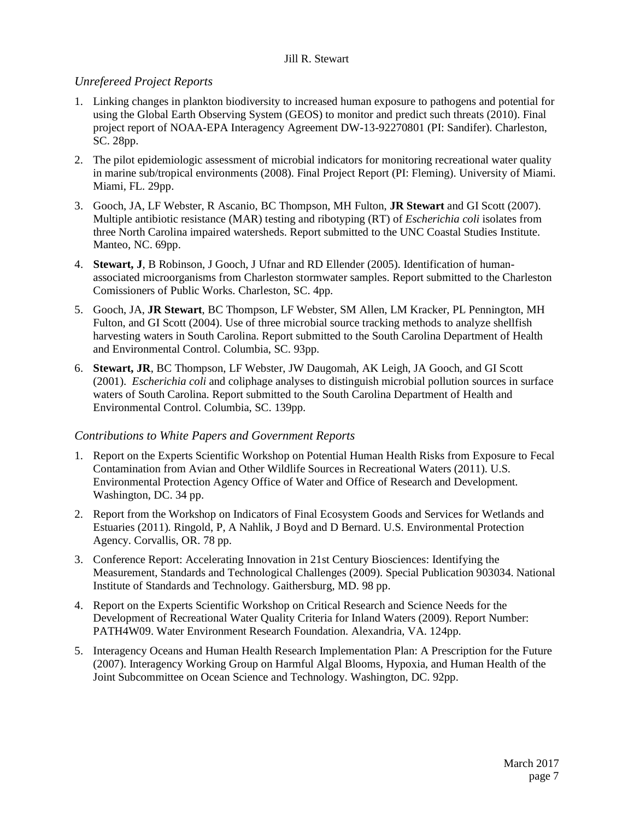### *Unrefereed Project Reports*

- 1. Linking changes in plankton biodiversity to increased human exposure to pathogens and potential for using the Global Earth Observing System (GEOS) to monitor and predict such threats (2010). Final project report of NOAA-EPA Interagency Agreement DW-13-92270801 (PI: Sandifer). Charleston, SC. 28pp.
- 2. The pilot epidemiologic assessment of microbial indicators for monitoring recreational water quality in marine sub/tropical environments (2008). Final Project Report (PI: Fleming). University of Miami. Miami, FL. 29pp.
- 3. Gooch, JA, LF Webster, R Ascanio, BC Thompson, MH Fulton, **JR Stewart** and GI Scott (2007). Multiple antibiotic resistance (MAR) testing and ribotyping (RT) of *Escherichia coli* isolates from three North Carolina impaired watersheds. Report submitted to the UNC Coastal Studies Institute. Manteo, NC. 69pp.
- 4. **Stewart, J**, B Robinson, J Gooch, J Ufnar and RD Ellender (2005). Identification of humanassociated microorganisms from Charleston stormwater samples. Report submitted to the Charleston Comissioners of Public Works. Charleston, SC. 4pp.
- 5. Gooch, JA, **JR Stewart**, BC Thompson, LF Webster, SM Allen, LM Kracker, PL Pennington, MH Fulton, and GI Scott (2004). Use of three microbial source tracking methods to analyze shellfish harvesting waters in South Carolina. Report submitted to the South Carolina Department of Health and Environmental Control. Columbia, SC. 93pp.
- 6. **Stewart, JR**, BC Thompson, LF Webster, JW Daugomah, AK Leigh, JA Gooch, and GI Scott (2001). *Escherichia coli* and coliphage analyses to distinguish microbial pollution sources in surface waters of South Carolina. Report submitted to the South Carolina Department of Health and Environmental Control. Columbia, SC. 139pp.

#### *Contributions to White Papers and Government Reports*

- 1. Report on the Experts Scientific Workshop on Potential Human Health Risks from Exposure to Fecal Contamination from Avian and Other Wildlife Sources in Recreational Waters (2011). U.S. Environmental Protection Agency Office of Water and Office of Research and Development. Washington, DC. 34 pp.
- 2. Report from the Workshop on Indicators of Final Ecosystem Goods and Services for Wetlands and Estuaries (2011)*.* Ringold, P, A Nahlik, J Boyd and D Bernard. U.S. Environmental Protection Agency. Corvallis, OR. 78 pp.
- 3. Conference Report: Accelerating Innovation in 21st Century Biosciences: Identifying the Measurement, Standards and Technological Challenges (2009). Special Publication 903034. National Institute of Standards and Technology. Gaithersburg, MD. 98 pp.
- 4. Report on the Experts Scientific Workshop on Critical Research and Science Needs for the Development of Recreational Water Quality Criteria for Inland Waters (2009). Report Number: PATH4W09. Water Environment Research Foundation. Alexandria, VA. 124pp.
- 5. Interagency Oceans and Human Health Research Implementation Plan: A Prescription for the Future (2007). Interagency Working Group on Harmful Algal Blooms, Hypoxia, and Human Health of the Joint Subcommittee on Ocean Science and Technology. Washington, DC. 92pp.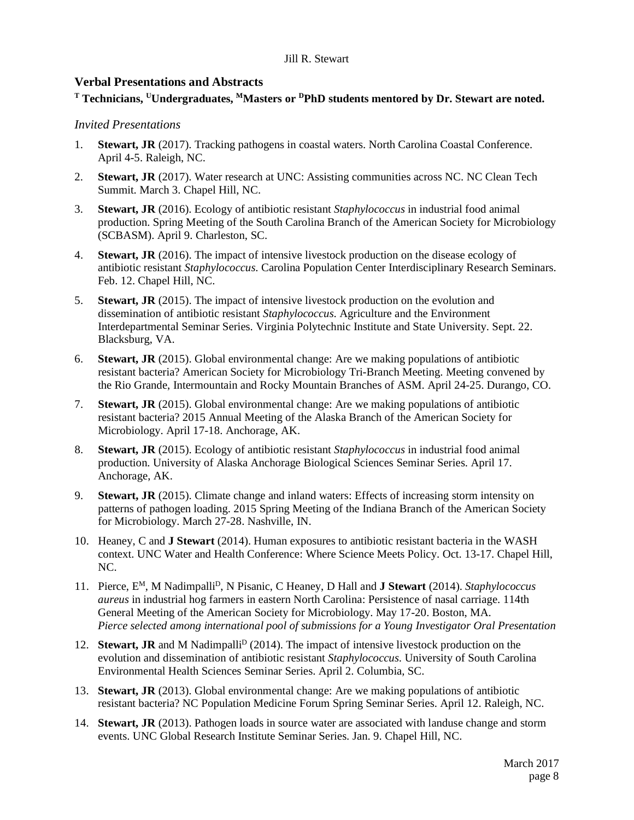### **Verbal Presentations and Abstracts**

# **<sup>T</sup> Technicians, UUndergraduates, MMasters or DPhD students mentored by Dr. Stewart are noted.**

#### *Invited Presentations*

- 1. **Stewart, JR** (2017). Tracking pathogens in coastal waters. North Carolina Coastal Conference. April 4-5. Raleigh, NC.
- 2. **Stewart, JR** (2017). Water research at UNC: Assisting communities across NC. NC Clean Tech Summit. March 3. Chapel Hill, NC.
- 3. **Stewart, JR** (2016). Ecology of antibiotic resistant *Staphylococcus* in industrial food animal production. Spring Meeting of the South Carolina Branch of the American Society for Microbiology (SCBASM). April 9. Charleston, SC.
- 4. **Stewart, JR** (2016). The impact of intensive livestock production on the disease ecology of antibiotic resistant *Staphylococcus*. Carolina Population Center Interdisciplinary Research Seminars. Feb. 12. Chapel Hill, NC.
- 5. **Stewart, JR** (2015). The impact of intensive livestock production on the evolution and dissemination of antibiotic resistant *Staphylococcus*. Agriculture and the Environment Interdepartmental Seminar Series. Virginia Polytechnic Institute and State University. Sept. 22. Blacksburg, VA.
- 6. **Stewart, JR** (2015). Global environmental change: Are we making populations of antibiotic resistant bacteria? American Society for Microbiology Tri-Branch Meeting. Meeting convened by the Rio Grande, Intermountain and Rocky Mountain Branches of ASM. April 24-25. Durango, CO.
- 7. **Stewart, JR** (2015). Global environmental change: Are we making populations of antibiotic resistant bacteria? 2015 Annual Meeting of the Alaska Branch of the American Society for Microbiology. April 17-18. Anchorage, AK.
- 8. **Stewart, JR** (2015). Ecology of antibiotic resistant *Staphylococcus* in industrial food animal production. University of Alaska Anchorage Biological Sciences Seminar Series. April 17. Anchorage, AK.
- 9. **Stewart, JR** (2015). Climate change and inland waters: Effects of increasing storm intensity on patterns of pathogen loading. 2015 Spring Meeting of the Indiana Branch of the American Society for Microbiology. March 27-28. Nashville, IN.
- 10. Heaney, C and **J Stewart** (2014). Human exposures to antibiotic resistant bacteria in the WASH context. UNC Water and Health Conference: Where Science Meets Policy. Oct. 13-17. Chapel Hill, NC.
- 11. Pierce, E<sup>M</sup>, M Nadimpalli<sup>D</sup>, N Pisanic, C Heaney, D Hall and **J Stewart** (2014). *Staphylococcus aureus* in industrial hog farmers in eastern North Carolina: Persistence of nasal carriage. 114th General Meeting of the American Society for Microbiology. May 17-20. Boston, MA. *Pierce selected among international pool of submissions for a Young Investigator Oral Presentation*
- 12. **Stewart, JR** and M Nadimpalli<sup>D</sup> (2014). The impact of intensive livestock production on the evolution and dissemination of antibiotic resistant *Staphylococcus*. University of South Carolina Environmental Health Sciences Seminar Series. April 2. Columbia, SC.
- 13. **Stewart, JR** (2013). Global environmental change: Are we making populations of antibiotic resistant bacteria? NC Population Medicine Forum Spring Seminar Series. April 12. Raleigh, NC.
- 14. **Stewart, JR** (2013). Pathogen loads in source water are associated with landuse change and storm events. UNC Global Research Institute Seminar Series. Jan. 9. Chapel Hill, NC.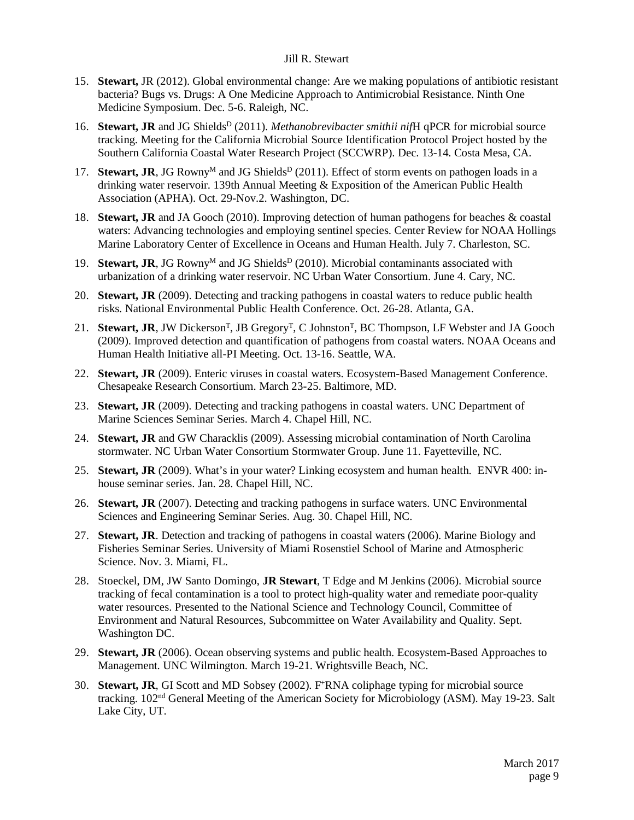- 15. **Stewart,** JR (2012). Global environmental change: Are we making populations of antibiotic resistant bacteria? Bugs vs. Drugs: A One Medicine Approach to Antimicrobial Resistance. Ninth One Medicine Symposium. Dec. 5-6. Raleigh, NC.
- 16. **Stewart, JR** and JG Shields<sup>D</sup> (2011). *Methanobrevibacter smithii nifH* qPCR for microbial source tracking. Meeting for the California Microbial Source Identification Protocol Project hosted by the Southern California Coastal Water Research Project (SCCWRP). Dec. 13-14. Costa Mesa, CA.
- 17. **Stewart, JR**, JG Rowny<sup>M</sup> and JG Shields<sup>D</sup> (2011). Effect of storm events on pathogen loads in a drinking water reservoir. 139th Annual Meeting & Exposition of the American Public Health Association (APHA). Oct. 29-Nov.2. Washington, DC.
- 18. **Stewart, JR** and JA Gooch (2010). Improving detection of human pathogens for beaches & coastal waters: Advancing technologies and employing sentinel species. Center Review for NOAA Hollings Marine Laboratory Center of Excellence in Oceans and Human Health. July 7. Charleston, SC.
- 19. **Stewart, JR**, JG Rowny<sup>M</sup> and JG Shields<sup>D</sup> (2010). Microbial contaminants associated with urbanization of a drinking water reservoir. NC Urban Water Consortium. June 4. Cary, NC.
- 20. **Stewart, JR** (2009). Detecting and tracking pathogens in coastal waters to reduce public health risks. National Environmental Public Health Conference. Oct. 26-28. Atlanta, GA.
- 21. Stewart, JR, JW Dickerson<sup>T</sup>, JB Gregory<sup>T</sup>, C Johnston<sup>T</sup>, BC Thompson, LF Webster and JA Gooch (2009). Improved detection and quantification of pathogens from coastal waters. NOAA Oceans and Human Health Initiative all-PI Meeting. Oct. 13-16. Seattle, WA.
- 22. **Stewart, JR** (2009). Enteric viruses in coastal waters. Ecosystem-Based Management Conference. Chesapeake Research Consortium. March 23-25. Baltimore, MD.
- 23. **Stewart, JR** (2009). Detecting and tracking pathogens in coastal waters. UNC Department of Marine Sciences Seminar Series. March 4. Chapel Hill, NC.
- 24. **Stewart, JR** and GW Characklis (2009). Assessing microbial contamination of North Carolina stormwater. NC Urban Water Consortium Stormwater Group. June 11. Fayetteville, NC.
- 25. **Stewart, JR** (2009). What's in your water? Linking ecosystem and human health. ENVR 400: inhouse seminar series. Jan. 28. Chapel Hill, NC.
- 26. **Stewart, JR** (2007). Detecting and tracking pathogens in surface waters. UNC Environmental Sciences and Engineering Seminar Series. Aug. 30. Chapel Hill, NC.
- 27. **Stewart, JR**. Detection and tracking of pathogens in coastal waters (2006). Marine Biology and Fisheries Seminar Series. University of Miami Rosenstiel School of Marine and Atmospheric Science. Nov. 3. Miami, FL.
- 28. Stoeckel, DM, JW Santo Domingo, **JR Stewart**, T Edge and M Jenkins (2006). Microbial source tracking of fecal contamination is a tool to protect high-quality water and remediate poor-quality water resources. Presented to the National Science and Technology Council, Committee of Environment and Natural Resources, Subcommittee on Water Availability and Quality. Sept. Washington DC.
- 29. **Stewart, JR** (2006). Ocean observing systems and public health. Ecosystem-Based Approaches to Management. UNC Wilmington. March 19-21. Wrightsville Beach, NC.
- 30. **Stewart, JR**, GI Scott and MD Sobsey (2002). F+RNA coliphage typing for microbial source tracking. 102nd General Meeting of the American Society for Microbiology (ASM). May 19-23. Salt Lake City, UT.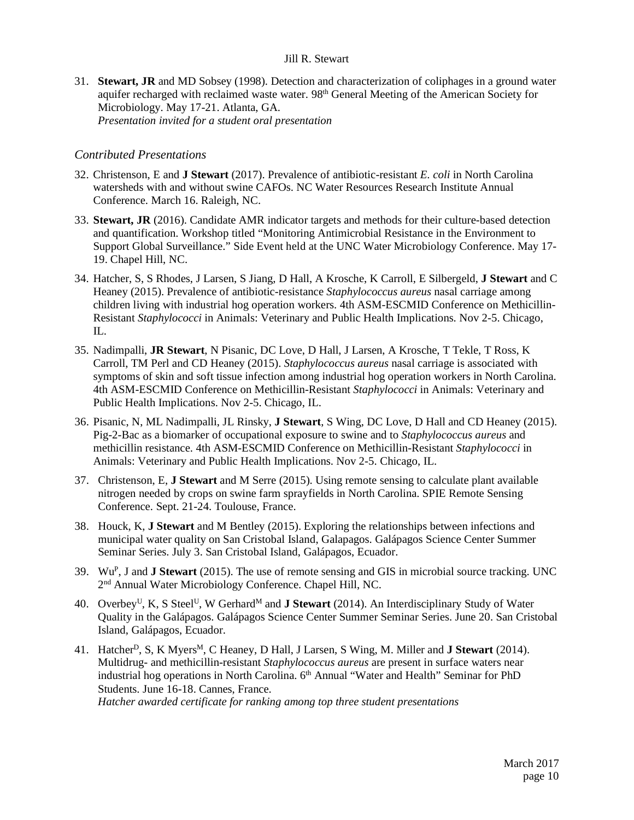31. **Stewart, JR** and MD Sobsey (1998). Detection and characterization of coliphages in a ground water aquifer recharged with reclaimed waste water. 98th General Meeting of the American Society for Microbiology. May 17-21. Atlanta, GA. *Presentation invited for a student oral presentation*

### *Contributed Presentations*

- 32. Christenson, E and **J Stewart** (2017). Prevalence of antibiotic-resistant *E. coli* in North Carolina watersheds with and without swine CAFOs. NC Water Resources Research Institute Annual Conference. March 16. Raleigh, NC.
- 33. **Stewart, JR** (2016). Candidate AMR indicator targets and methods for their culture-based detection and quantification. Workshop titled "Monitoring Antimicrobial Resistance in the Environment to Support Global Surveillance." Side Event held at the UNC Water Microbiology Conference. May 17- 19. Chapel Hill, NC.
- 34. Hatcher, S, S Rhodes, J Larsen, S Jiang, D Hall, A Krosche, K Carroll, E Silbergeld, **J Stewart** and C Heaney (2015). Prevalence of antibiotic-resistance *Staphylococcus aureus* nasal carriage among children living with industrial hog operation workers. 4th ASM-ESCMID Conference on Methicillin-Resistant *Staphylococci* in Animals: Veterinary and Public Health Implications. Nov 2-5. Chicago, IL.
- 35. Nadimpalli, **JR Stewart**, N Pisanic, DC Love, D Hall, J Larsen, A Krosche, T Tekle, T Ross, K Carroll, TM Perl and CD Heaney (2015). *Staphylococcus aureus* nasal carriage is associated with symptoms of skin and soft tissue infection among industrial hog operation workers in North Carolina. 4th ASM-ESCMID Conference on Methicillin-Resistant *Staphylococci* in Animals: Veterinary and Public Health Implications. Nov 2-5. Chicago, IL.
- 36. Pisanic, N, ML Nadimpalli, JL Rinsky, **J Stewart**, S Wing, DC Love, D Hall and CD Heaney (2015). Pig-2-Bac as a biomarker of occupational exposure to swine and to *Staphylococcus aureus* and methicillin resistance. 4th ASM-ESCMID Conference on Methicillin-Resistant *Staphylococci* in Animals: Veterinary and Public Health Implications. Nov 2-5. Chicago, IL.
- 37. Christenson, E, **J Stewart** and M Serre (2015). Using remote sensing to calculate plant available nitrogen needed by crops on swine farm sprayfields in North Carolina. SPIE Remote Sensing Conference. Sept. 21-24. Toulouse, France.
- 38. Houck, K, **J Stewart** and M Bentley (2015). Exploring the relationships between infections and municipal water quality on San Cristobal Island, Galapagos. Galápagos Science Center Summer Seminar Series. July 3. San Cristobal Island, Galápagos, Ecuador.
- 39. WuP, J and **J Stewart** (2015). The use of remote sensing and GIS in microbial source tracking. UNC 2nd Annual Water Microbiology Conference. Chapel Hill, NC.
- 40. Overbey<sup>U</sup>, K, S Steel<sup>U</sup>, W Gerhard<sup>M</sup> and **J Stewart** (2014). An Interdisciplinary Study of Water Quality in the Galápagos. Galápagos Science Center Summer Seminar Series. June 20. San Cristobal Island, Galápagos, Ecuador.
- 41. Hatcher<sup>D</sup>, S, K Myers<sup>M</sup>, C Heaney, D Hall, J Larsen, S Wing, M. Miller and **J Stewart** (2014). Multidrug- and methicillin-resistant *Staphylococcus aureus* are present in surface waters near industrial hog operations in North Carolina.  $6<sup>th</sup>$  Annual "Water and Health" Seminar for PhD Students. June 16-18. Cannes, France.

*Hatcher awarded certificate for ranking among top three student presentations*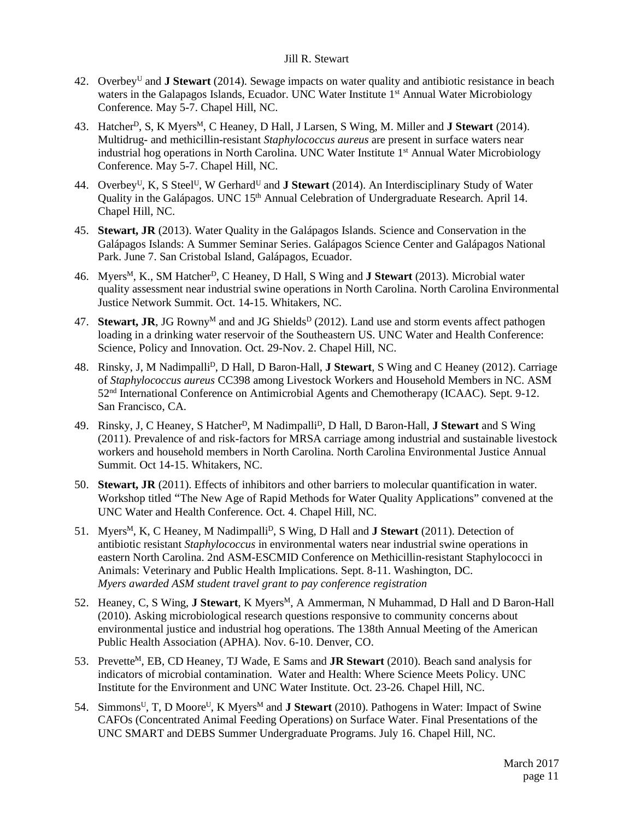- 42. OverbeyU and **J Stewart** (2014). Sewage impacts on water quality and antibiotic resistance in beach waters in the Galapagos Islands, Ecuador. UNC Water Institute 1<sup>st</sup> Annual Water Microbiology Conference. May 5-7. Chapel Hill, NC.
- 43. Hatcher<sup>D</sup>, S, K Myers<sup>M</sup>, C Heaney, D Hall, J Larsen, S Wing, M. Miller and **J Stewart** (2014). Multidrug- and methicillin-resistant *Staphylococcus aureus* are present in surface waters near industrial hog operations in North Carolina. UNC Water Institute 1<sup>st</sup> Annual Water Microbiology Conference. May 5-7. Chapel Hill, NC.
- 44. Overbey<sup>U</sup>, K, S Steel<sup>U</sup>, W Gerhard<sup>U</sup> and **J Stewart** (2014). An Interdisciplinary Study of Water Quality in the Galápagos. UNC 15<sup>th</sup> Annual Celebration of Undergraduate Research. April 14. Chapel Hill, NC.
- 45. **Stewart, JR** (2013). Water Quality in the Galápagos Islands. Science and Conservation in the Galápagos Islands: A Summer Seminar Series. Galápagos Science Center and Galápagos National Park. June 7. San Cristobal Island, Galápagos, Ecuador.
- 46. Myers<sup>M</sup>, K., SM Hatcher<sup>D</sup>, C Heaney, D Hall, S Wing and **J Stewart** (2013). Microbial water quality assessment near industrial swine operations in North Carolina. North Carolina Environmental Justice Network Summit. Oct. 14-15. Whitakers, NC.
- 47. **Stewart, JR**, JG Rowny<sup>M</sup> and and JG Shields<sup>D</sup> (2012). Land use and storm events affect pathogen loading in a drinking water reservoir of the Southeastern US. UNC Water and Health Conference: Science, Policy and Innovation. Oct. 29-Nov. 2. Chapel Hill, NC.
- 48. Rinsky, J, M NadimpalliD, D Hall, D Baron-Hall, **J Stewart**, S Wing and C Heaney (2012). Carriage of *Staphylococcus aureus* CC398 among Livestock Workers and Household Members in NC. ASM 52nd International Conference on Antimicrobial Agents and Chemotherapy (ICAAC). Sept. 9-12. San Francisco, CA.
- 49. Rinsky, J, C Heaney, S HatcherD, M NadimpalliD, D Hall, D Baron-Hall, **J Stewart** and S Wing (2011). Prevalence of and risk-factors for MRSA carriage among industrial and sustainable livestock workers and household members in North Carolina. North Carolina Environmental Justice Annual Summit. Oct 14-15. Whitakers, NC.
- 50. **Stewart, JR** (2011). Effects of inhibitors and other barriers to molecular quantification in water. Workshop titled "The New Age of Rapid Methods for Water Quality Applications" convened at the UNC Water and Health Conference. Oct. 4. Chapel Hill, NC.
- 51. Myers<sup>M</sup>, K, C Heaney, M Nadimpalli<sup>D</sup>, S Wing, D Hall and **J Stewart** (2011). Detection of antibiotic resistant *Staphylococcus* in environmental waters near industrial swine operations in eastern North Carolina. 2nd ASM-ESCMID Conference on Methicillin-resistant Staphylococci in Animals: Veterinary and Public Health Implications. Sept. 8-11. Washington, DC. *Myers awarded ASM student travel grant to pay conference registration*
- 52. Heaney, C, S Wing, **J Stewart**, K Myers<sup>M</sup>, A Ammerman, N Muhammad, D Hall and D Baron-Hall (2010). Asking microbiological research questions responsive to community concerns about environmental justice and industrial hog operations. The 138th Annual Meeting of the American Public Health Association (APHA). Nov. 6-10. Denver, CO.
- 53. Prevette<sup>M</sup>, EB, CD Heaney, TJ Wade, E Sams and **JR Stewart** (2010). Beach sand analysis for indicators of microbial contamination. Water and Health: Where Science Meets Policy. UNC Institute for the Environment and UNC Water Institute. Oct. 23-26. Chapel Hill, NC.
- 54. Simmons<sup>U</sup>, T, D Moore<sup>U</sup>, K Myers<sup>M</sup> and **J Stewart** (2010). Pathogens in Water: Impact of Swine CAFOs (Concentrated Animal Feeding Operations) on Surface Water. Final Presentations of the UNC SMART and DEBS Summer Undergraduate Programs. July 16. Chapel Hill, NC.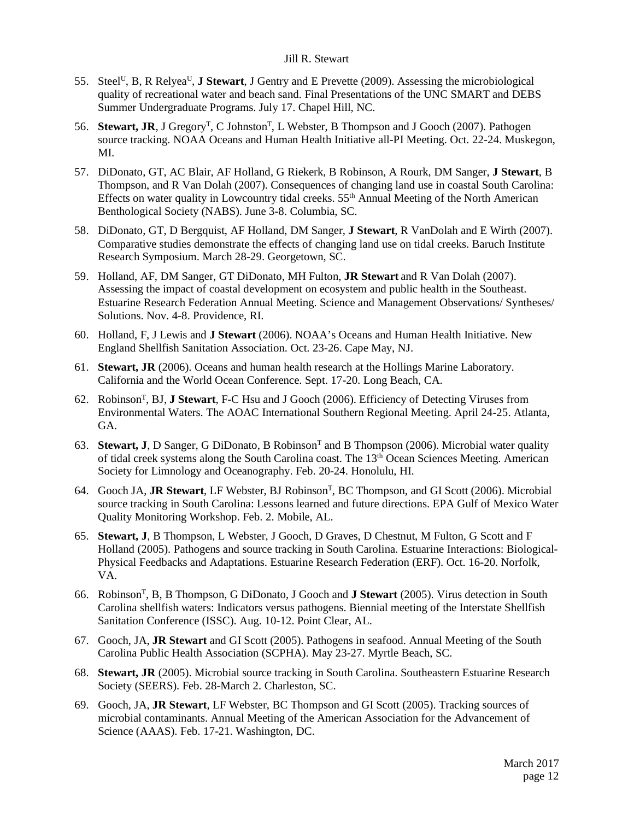- 55. SteelU, B, R RelyeaU, **J Stewart**, J Gentry and E Prevette (2009). Assessing the microbiological quality of recreational water and beach sand. Final Presentations of the UNC SMART and DEBS Summer Undergraduate Programs. July 17. Chapel Hill, NC.
- 56. **Stewart, JR**, J Gregory<sup>T</sup>, C Johnston<sup>T</sup>, L Webster, B Thompson and J Gooch (2007). Pathogen source tracking. NOAA Oceans and Human Health Initiative all-PI Meeting. Oct. 22-24. Muskegon, MI.
- 57. DiDonato, GT, AC Blair, AF Holland, G Riekerk, B Robinson, A Rourk, DM Sanger, **J Stewart**, B Thompson, and R Van Dolah (2007). Consequences of changing land use in coastal South Carolina: Effects on water quality in Lowcountry tidal creeks. 55<sup>th</sup> Annual Meeting of the North American Benthological Society (NABS). June 3-8. Columbia, SC.
- 58. DiDonato, GT, D Bergquist, AF Holland, DM Sanger, **J Stewart**, R VanDolah and E Wirth (2007). Comparative studies demonstrate the effects of changing land use on tidal creeks. Baruch Institute Research Symposium. March 28-29. Georgetown, SC.
- 59. Holland, AF, DM Sanger, GT DiDonato, MH Fulton, **JR Stewart** and R Van Dolah (2007). Assessing the impact of coastal development on ecosystem and public health in the Southeast. Estuarine Research Federation Annual Meeting. Science and Management Observations/ Syntheses/ Solutions. Nov. 4-8. Providence, RI.
- 60. Holland, F, J Lewis and **J Stewart** (2006). NOAA's Oceans and Human Health Initiative. New England Shellfish Sanitation Association. Oct. 23-26. Cape May, NJ.
- 61. **Stewart, JR** (2006). Oceans and human health research at the Hollings Marine Laboratory. California and the World Ocean Conference. Sept. 17-20. Long Beach, CA.
- 62. RobinsonT, BJ, **J Stewart**, F-C Hsu and J Gooch (2006). Efficiency of Detecting Viruses from Environmental Waters. The AOAC International Southern Regional Meeting. April 24-25. Atlanta, GA.
- 63. **Stewart, J**, D Sanger, G DiDonato, B Robinson<sup>T</sup> and B Thompson (2006). Microbial water quality of tidal creek systems along the South Carolina coast. The 13th Ocean Sciences Meeting. American Society for Limnology and Oceanography. Feb. 20-24. Honolulu, HI.
- 64. Gooch JA, **JR Stewart**, LF Webster, BJ RobinsonT, BC Thompson, and GI Scott (2006). Microbial source tracking in South Carolina: Lessons learned and future directions. EPA Gulf of Mexico Water Quality Monitoring Workshop. Feb. 2. Mobile, AL.
- 65. **Stewart, J**, B Thompson, L Webster, J Gooch, D Graves, D Chestnut, M Fulton, G Scott and F Holland (2005). Pathogens and source tracking in South Carolina. Estuarine Interactions: Biological-Physical Feedbacks and Adaptations. Estuarine Research Federation (ERF). Oct. 16-20. Norfolk, VA.
- 66. RobinsonT, B, B Thompson, G DiDonato, J Gooch and **J Stewart** (2005). Virus detection in South Carolina shellfish waters: Indicators versus pathogens. Biennial meeting of the Interstate Shellfish Sanitation Conference (ISSC). Aug. 10-12. Point Clear, AL.
- 67. Gooch, JA, **JR Stewart** and GI Scott (2005). Pathogens in seafood. Annual Meeting of the South Carolina Public Health Association (SCPHA). May 23-27. Myrtle Beach, SC.
- 68. **Stewart, JR** (2005). Microbial source tracking in South Carolina. Southeastern Estuarine Research Society (SEERS). Feb. 28-March 2. Charleston, SC.
- 69. Gooch, JA, **JR Stewart**, LF Webster, BC Thompson and GI Scott (2005). Tracking sources of microbial contaminants. Annual Meeting of the American Association for the Advancement of Science (AAAS). Feb. 17-21. Washington, DC.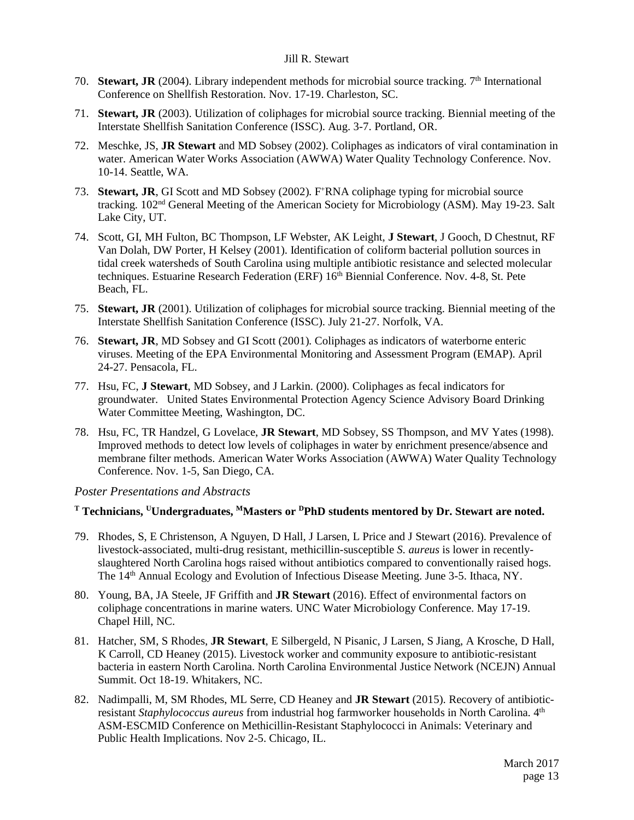- 70. **Stewart, JR** (2004). Library independent methods for microbial source tracking. 7th International Conference on Shellfish Restoration. Nov. 17-19. Charleston, SC.
- 71. **Stewart, JR** (2003). Utilization of coliphages for microbial source tracking. Biennial meeting of the Interstate Shellfish Sanitation Conference (ISSC). Aug. 3-7. Portland, OR.
- 72. Meschke, JS, **JR Stewart** and MD Sobsey (2002). Coliphages as indicators of viral contamination in water. American Water Works Association (AWWA) Water Quality Technology Conference. Nov. 10-14. Seattle, WA.
- 73. **Stewart, JR**, GI Scott and MD Sobsey (2002). F<sup>+</sup>RNA coliphage typing for microbial source tracking. 102nd General Meeting of the American Society for Microbiology (ASM). May 19-23. Salt Lake City, UT.
- 74. Scott, GI, MH Fulton, BC Thompson, LF Webster, AK Leight, **J Stewart**, J Gooch, D Chestnut, RF Van Dolah, DW Porter, H Kelsey (2001). Identification of coliform bacterial pollution sources in tidal creek watersheds of South Carolina using multiple antibiotic resistance and selected molecular techniques. Estuarine Research Federation (ERF) 16<sup>th</sup> Biennial Conference. Nov. 4-8, St. Pete Beach, FL.
- 75. **Stewart, JR** (2001). Utilization of coliphages for microbial source tracking. Biennial meeting of the Interstate Shellfish Sanitation Conference (ISSC). July 21-27. Norfolk, VA.
- 76. **Stewart, JR**, MD Sobsey and GI Scott (2001). Coliphages as indicators of waterborne enteric viruses. Meeting of the EPA Environmental Monitoring and Assessment Program (EMAP). April 24-27. Pensacola, FL.
- 77. Hsu, FC, **J Stewart**, MD Sobsey, and J Larkin. (2000). Coliphages as fecal indicators for groundwater. United States Environmental Protection Agency Science Advisory Board Drinking Water Committee Meeting, Washington, DC.
- 78. Hsu, FC, TR Handzel, G Lovelace, **JR Stewart**, MD Sobsey, SS Thompson, and MV Yates (1998). Improved methods to detect low levels of coliphages in water by enrichment presence/absence and membrane filter methods. American Water Works Association (AWWA) Water Quality Technology Conference. Nov. 1-5, San Diego, CA.

### *Poster Presentations and Abstracts*

#### **<sup>T</sup> Technicians, UUndergraduates, MMasters or DPhD students mentored by Dr. Stewart are noted.**

- 79. Rhodes, S, E Christenson, A Nguyen, D Hall, J Larsen, L Price and J Stewart (2016). Prevalence of livestock-associated, multi-drug resistant, methicillin-susceptible *S. aureus* is lower in recentlyslaughtered North Carolina hogs raised without antibiotics compared to conventionally raised hogs. The 14th Annual Ecology and Evolution of Infectious Disease Meeting. June 3-5. Ithaca, NY.
- 80. Young, BA, JA Steele, JF Griffith and **JR Stewart** (2016). Effect of environmental factors on coliphage concentrations in marine waters. UNC Water Microbiology Conference. May 17-19. Chapel Hill, NC.
- 81. Hatcher, SM, S Rhodes, **JR Stewart**, E Silbergeld, N Pisanic, J Larsen, S Jiang, A Krosche, D Hall, K Carroll, CD Heaney (2015). Livestock worker and community exposure to antibiotic-resistant bacteria in eastern North Carolina. North Carolina Environmental Justice Network (NCEJN) Annual Summit. Oct 18-19. Whitakers, NC.
- 82. Nadimpalli, M, SM Rhodes, ML Serre, CD Heaney and **JR Stewart** (2015). Recovery of antibioticresistant *Staphylococcus aureus* from industrial hog farmworker households in North Carolina. 4th ASM-ESCMID Conference on Methicillin-Resistant Staphylococci in Animals: Veterinary and Public Health Implications. Nov 2-5. Chicago, IL.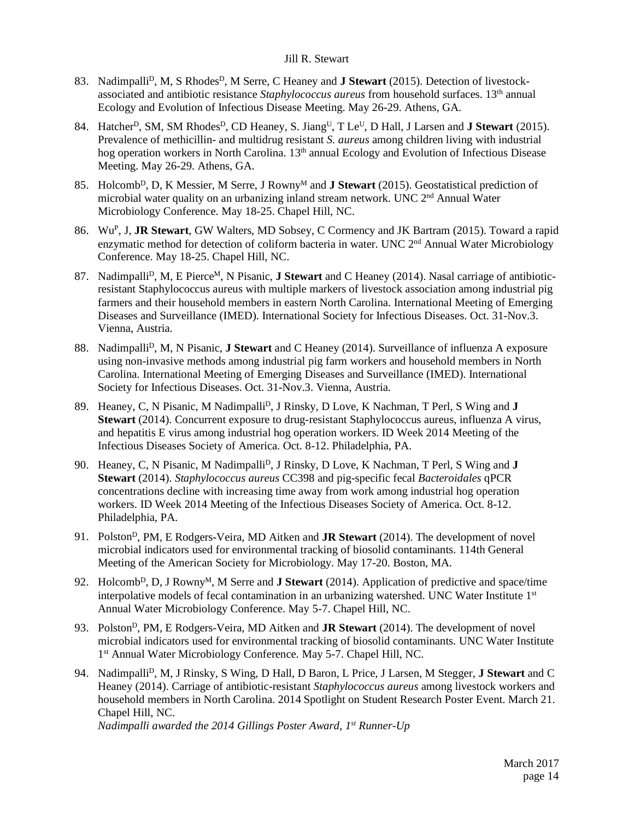- 83. Nadimpalli<sup>D</sup>, M, S Rhodes<sup>D</sup>, M Serre, C Heaney and **J Stewart** (2015). Detection of livestockassociated and antibiotic resistance *Staphylococcus aureus* from household surfaces. 13th annual Ecology and Evolution of Infectious Disease Meeting. May 26-29. Athens, GA.
- 84. Hatcher<sup>D</sup>, SM, SM Rhodes<sup>D</sup>, CD Heaney, S. Jiang<sup>U</sup>, T Le<sup>U</sup>, D Hall, J Larsen and **J Stewart** (2015). Prevalence of methicillin- and multidrug resistant *S. aureus* among children living with industrial hog operation workers in North Carolina. 13<sup>th</sup> annual Ecology and Evolution of Infectious Disease Meeting. May 26-29. Athens, GA.
- 85. Holcomb<sup>D</sup>, D, K Messier, M Serre, J Rowny<sup>M</sup> and **J Stewart** (2015). Geostatistical prediction of microbial water quality on an urbanizing inland stream network. UNC 2nd Annual Water Microbiology Conference. May 18-25. Chapel Hill, NC.
- 86. WuP, J, **JR Stewart**, GW Walters, MD Sobsey, C Cormency and JK Bartram (2015). Toward a rapid enzymatic method for detection of coliform bacteria in water. UNC 2<sup>nd</sup> Annual Water Microbiology Conference. May 18-25. Chapel Hill, NC.
- 87. Nadimpalli<sup>D</sup>, M, E Pierce<sup>M</sup>, N Pisanic, **J Stewart** and C Heaney (2014). Nasal carriage of antibioticresistant Staphylococcus aureus with multiple markers of livestock association among industrial pig farmers and their household members in eastern North Carolina. International Meeting of Emerging Diseases and Surveillance (IMED). International Society for Infectious Diseases. Oct. 31-Nov.3. Vienna, Austria.
- 88. Nadimpalli<sup>D</sup>, M, N Pisanic, **J Stewart** and C Heaney (2014). Surveillance of influenza A exposure using non-invasive methods among industrial pig farm workers and household members in North Carolina. International Meeting of Emerging Diseases and Surveillance (IMED). International Society for Infectious Diseases. Oct. 31-Nov.3. Vienna, Austria.
- 89. Heaney, C, N Pisanic, M Nadimpalli<sup>D</sup>, J Rinsky, D Love, K Nachman, T Perl, S Wing and **J Stewart** (2014). Concurrent exposure to drug-resistant Staphylococcus aureus, influenza A virus, and hepatitis E virus among industrial hog operation workers. ID Week 2014 Meeting of the Infectious Diseases Society of America. Oct. 8-12. Philadelphia, PA.
- 90. Heaney, C, N Pisanic, M Nadimpalli<sup>D</sup>, J Rinsky, D Love, K Nachman, T Perl, S Wing and **J Stewart** (2014). *Staphylococcus aureus* CC398 and pig-specific fecal *Bacteroidales* qPCR concentrations decline with increasing time away from work among industrial hog operation workers. ID Week 2014 Meeting of the Infectious Diseases Society of America. Oct. 8-12. Philadelphia, PA.
- 91. PolstonD, PM, E Rodgers-Veira, MD Aitken and **JR Stewart** (2014). The development of novel microbial indicators used for environmental tracking of biosolid contaminants. 114th General Meeting of the American Society for Microbiology. May 17-20. Boston, MA.
- 92. Holcomb<sup>D</sup>, D, J Rowny<sup>M</sup>, M Serre and **J Stewart** (2014). Application of predictive and space/time interpolative models of fecal contamination in an urbanizing watershed. UNC Water Institute 1<sup>st</sup> Annual Water Microbiology Conference. May 5-7. Chapel Hill, NC.
- 93. PolstonD, PM, E Rodgers-Veira, MD Aitken and **JR Stewart** (2014). The development of novel microbial indicators used for environmental tracking of biosolid contaminants. UNC Water Institute 1st Annual Water Microbiology Conference. May 5-7. Chapel Hill, NC.
- 94. NadimpalliD, M, J Rinsky, S Wing, D Hall, D Baron, L Price, J Larsen, M Stegger, **J Stewart** and C Heaney (2014). Carriage of antibiotic-resistant *Staphylococcus aureus* among livestock workers and household members in North Carolina. 2014 Spotlight on Student Research Poster Event. March 21. Chapel Hill, NC.

*Nadimpalli awarded the 2014 Gillings Poster Award, 1st Runner-Up*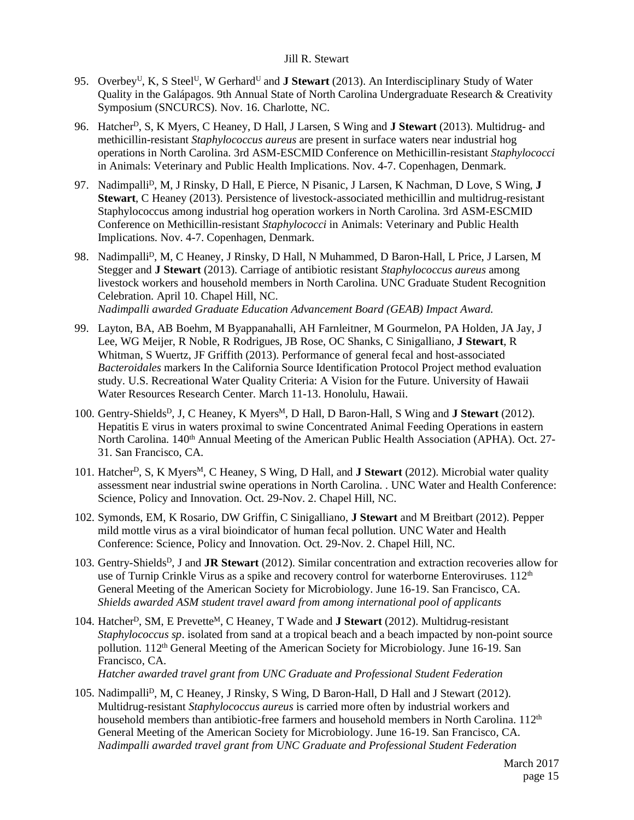- 95. Overbey<sup>U</sup>, K, S Steel<sup>U</sup>, W Gerhard<sup>U</sup> and **J Stewart** (2013). An Interdisciplinary Study of Water Quality in the Galápagos. 9th Annual State of North Carolina Undergraduate Research & Creativity Symposium (SNCURCS). Nov. 16. Charlotte, NC.
- 96. HatcherD, S, K Myers, C Heaney, D Hall, J Larsen, S Wing and **J Stewart** (2013). Multidrug- and methicillin-resistant *Staphylococcus aureus* are present in surface waters near industrial hog operations in North Carolina. 3rd ASM-ESCMID Conference on Methicillin-resistant *Staphylococci* in Animals: Veterinary and Public Health Implications. Nov. 4-7. Copenhagen, Denmark.
- 97. Nadimpalli<sup>D</sup>, M, J Rinsky, D Hall, E Pierce, N Pisanic, J Larsen, K Nachman, D Love, S Wing, **J Stewart**, C Heaney (2013). Persistence of livestock-associated methicillin and multidrug-resistant Staphylococcus among industrial hog operation workers in North Carolina. 3rd ASM-ESCMID Conference on Methicillin-resistant *Staphylococci* in Animals: Veterinary and Public Health Implications. Nov. 4-7. Copenhagen, Denmark.
- 98. Nadimpalli<sup>D</sup>, M, C Heaney, J Rinsky, D Hall, N Muhammed, D Baron-Hall, L Price, J Larsen, M Stegger and **J Stewart** (2013). Carriage of antibiotic resistant *Staphylococcus aureus* among livestock workers and household members in North Carolina. UNC Graduate Student Recognition Celebration. April 10. Chapel Hill, NC. *Nadimpalli awarded Graduate Education Advancement Board (GEAB) Impact Award.*
- 99. Layton, BA, AB Boehm, M Byappanahalli, AH Farnleitner, M Gourmelon, PA Holden, JA Jay, J Lee, WG Meijer, R Noble, R Rodrigues, JB Rose, OC Shanks, C Sinigalliano, **J Stewart**, R Whitman, S Wuertz, JF Griffith (2013). Performance of general fecal and host-associated *Bacteroidales* markers In the California Source Identification Protocol Project method evaluation study. U.S. Recreational Water Quality Criteria: A Vision for the Future. University of Hawaii Water Resources Research Center. March 11-13. Honolulu, Hawaii.
- 100. Gentry-Shields<sup>D</sup>, J, C Heaney, K Myers<sup>M</sup>, D Hall, D Baron-Hall, S Wing and **J Stewart** (2012). Hepatitis E virus in waters proximal to swine Concentrated Animal Feeding Operations in eastern North Carolina. 140<sup>th</sup> Annual Meeting of the American Public Health Association (APHA). Oct. 27-31. San Francisco, CA.
- 101. HatcherD, S, K MyersM, C Heaney, S Wing, D Hall, and **J Stewart** (2012). Microbial water quality assessment near industrial swine operations in North Carolina. . UNC Water and Health Conference: Science, Policy and Innovation. Oct. 29-Nov. 2. Chapel Hill, NC.
- 102. Symonds, EM, K Rosario, DW Griffin, C Sinigalliano, **J Stewart** and M Breitbart (2012). Pepper mild mottle virus as a viral bioindicator of human fecal pollution. UNC Water and Health Conference: Science, Policy and Innovation. Oct. 29-Nov. 2. Chapel Hill, NC.
- 103. Gentry-ShieldsD, J and **JR Stewart** (2012). Similar concentration and extraction recoveries allow for use of Turnip Crinkle Virus as a spike and recovery control for waterborne Enteroviruses. 112<sup>th</sup> General Meeting of the American Society for Microbiology. June 16-19. San Francisco, CA. *Shields awarded ASM student travel award from among international pool of applicants*
- 104. HatcherD, SM, E PrevetteM, C Heaney, T Wade and **J Stewart** (2012). Multidrug-resistant *Staphylococcus sp*. isolated from sand at a tropical beach and a beach impacted by non-point source pollution. 112th General Meeting of the American Society for Microbiology. June 16-19. San Francisco, CA. *Hatcher awarded travel grant from UNC Graduate and Professional Student Federation*
- 105. Nadimpalli<sup>D</sup>, M, C Heaney, J Rinsky, S Wing, D Baron-Hall, D Hall and J Stewart (2012). Multidrug-resistant *Staphylococcus aureus* is carried more often by industrial workers and household members than antibiotic-free farmers and household members in North Carolina.  $112<sup>th</sup>$ General Meeting of the American Society for Microbiology. June 16-19. San Francisco, CA. *Nadimpalli awarded travel grant from UNC Graduate and Professional Student Federation*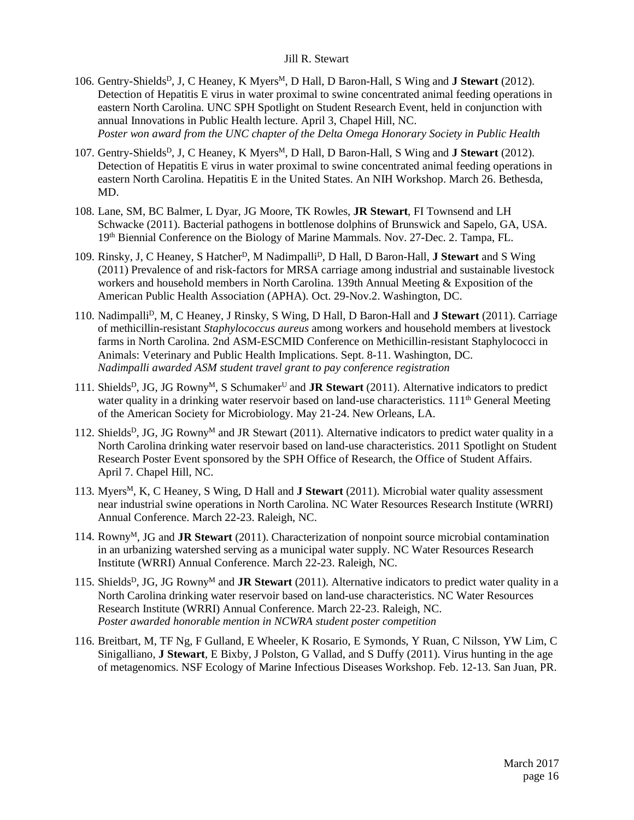- 106. Gentry-Shields<sup>D</sup>, J, C Heaney, K Myers<sup>M</sup>, D Hall, D Baron-Hall, S Wing and **J Stewart** (2012). Detection of Hepatitis E virus in water proximal to swine concentrated animal feeding operations in eastern North Carolina. UNC SPH Spotlight on Student Research Event, held in conjunction with annual Innovations in Public Health lecture. April 3, Chapel Hill, NC. *Poster won award from the UNC chapter of the Delta Omega Honorary Society in Public Health*
- 107. Gentry-Shields<sup>D</sup>, J, C Heaney, K Myers<sup>M</sup>, D Hall, D Baron-Hall, S Wing and **J Stewart** (2012). Detection of Hepatitis E virus in water proximal to swine concentrated animal feeding operations in eastern North Carolina. Hepatitis E in the United States. An NIH Workshop. March 26. Bethesda, MD.
- 108. Lane, SM, BC Balmer, L Dyar, JG Moore, TK Rowles, **JR Stewart**, FI Townsend and LH Schwacke (2011). Bacterial pathogens in bottlenose dolphins of Brunswick and Sapelo, GA, USA. 19th Biennial Conference on the Biology of Marine Mammals. Nov. 27-Dec. 2. Tampa, FL.
- 109. Rinsky, J, C Heaney, S HatcherD, M NadimpalliD, D Hall, D Baron-Hall, **J Stewart** and S Wing (2011) Prevalence of and risk-factors for MRSA carriage among industrial and sustainable livestock workers and household members in North Carolina. 139th Annual Meeting & Exposition of the American Public Health Association (APHA). Oct. 29-Nov.2. Washington, DC.
- 110. NadimpalliD, M, C Heaney, J Rinsky, S Wing, D Hall, D Baron-Hall and **J Stewart** (2011). Carriage of methicillin-resistant *Staphylococcus aureus* among workers and household members at livestock farms in North Carolina. 2nd ASM-ESCMID Conference on Methicillin-resistant Staphylococci in Animals: Veterinary and Public Health Implications. Sept. 8-11. Washington, DC. *Nadimpalli awarded ASM student travel grant to pay conference registration*
- 111. ShieldsD, JG, JG RownyM, S SchumakerU and **JR Stewart** (2011). Alternative indicators to predict water quality in a drinking water reservoir based on land-use characteristics.  $111<sup>th</sup>$  General Meeting of the American Society for Microbiology. May 21-24. New Orleans, LA.
- 112. Shields<sup>D</sup>, JG, JG Rowny<sup>M</sup> and JR Stewart (2011). Alternative indicators to predict water quality in a North Carolina drinking water reservoir based on land-use characteristics. 2011 Spotlight on Student Research Poster Event sponsored by the SPH Office of Research, the Office of Student Affairs. April 7. Chapel Hill, NC.
- 113. Myers<sup>M</sup>, K, C Heaney, S Wing, D Hall and **J Stewart** (2011). Microbial water quality assessment near industrial swine operations in North Carolina. NC Water Resources Research Institute (WRRI) Annual Conference. March 22-23. Raleigh, NC.
- 114. RownyM, JG and **JR Stewart** (2011). Characterization of nonpoint source microbial contamination in an urbanizing watershed serving as a municipal water supply. NC Water Resources Research Institute (WRRI) Annual Conference. March 22-23. Raleigh, NC.
- 115. Shields<sup>D</sup>, JG, JG Rowny<sup>M</sup> and **JR Stewart** (2011). Alternative indicators to predict water quality in a North Carolina drinking water reservoir based on land-use characteristics. NC Water Resources Research Institute (WRRI) Annual Conference. March 22-23. Raleigh, NC. *Poster awarded honorable mention in NCWRA student poster competition*
- 116. Breitbart, M, TF Ng, F Gulland, E Wheeler, K Rosario, E Symonds, Y Ruan, C Nilsson, YW Lim, C Sinigalliano, **J Stewart**, E Bixby, J Polston, G Vallad, and S Duffy (2011). Virus hunting in the age of metagenomics. NSF Ecology of Marine Infectious Diseases Workshop. Feb. 12-13. San Juan, PR.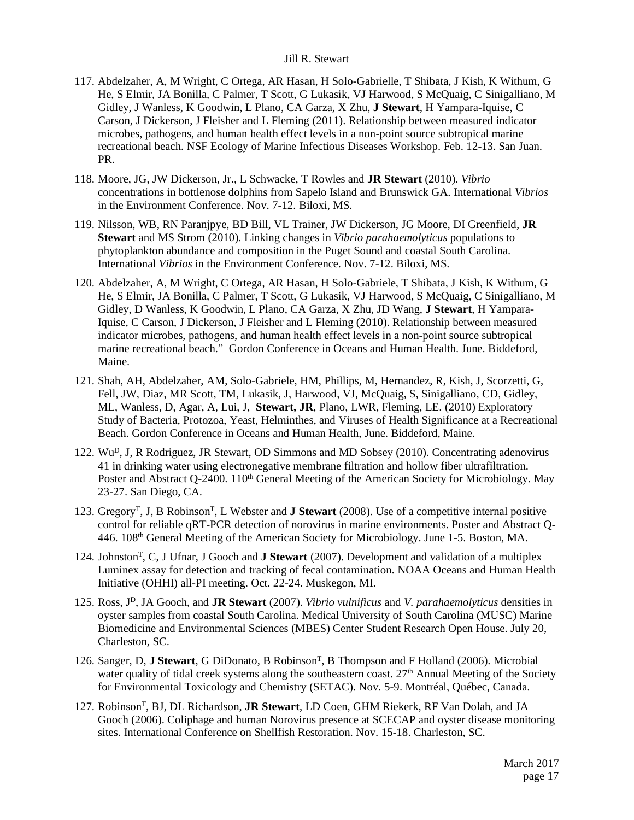- 117. Abdelzaher, A, M Wright, C Ortega, AR Hasan, H Solo-Gabrielle, T Shibata, J Kish, K Withum, G He, S Elmir, JA Bonilla, C Palmer, T Scott, G Lukasik, VJ Harwood, S McQuaig, C Sinigalliano, M Gidley, J Wanless, K Goodwin, L Plano, CA Garza, X Zhu, **J Stewart**, H Yampara-Iquise, C Carson, J Dickerson, J Fleisher and L Fleming (2011). Relationship between measured indicator microbes, pathogens, and human health effect levels in a non-point source subtropical marine recreational beach. NSF Ecology of Marine Infectious Diseases Workshop. Feb. 12-13. San Juan. PR.
- 118. Moore, JG, JW Dickerson, Jr., L Schwacke, T Rowles and **JR Stewart** (2010). *Vibrio* concentrations in bottlenose dolphins from Sapelo Island and Brunswick GA. International *Vibrios* in the Environment Conference. Nov. 7-12. Biloxi, MS.
- 119. Nilsson, WB, RN Paranjpye, BD Bill, VL Trainer, JW Dickerson, JG Moore, DI Greenfield, **JR Stewart** and MS Strom (2010). Linking changes in *Vibrio parahaemolyticus* populations to phytoplankton abundance and composition in the Puget Sound and coastal South Carolina. International *Vibrios* in the Environment Conference. Nov. 7-12. Biloxi, MS.
- 120. Abdelzaher, A, M Wright, C Ortega, AR Hasan, H Solo-Gabriele, T Shibata, J Kish, K Withum, G He, S Elmir, JA Bonilla, C Palmer, T Scott, G Lukasik, VJ Harwood, S McQuaig, C Sinigalliano, M Gidley, D Wanless, K Goodwin, L Plano, CA Garza, X Zhu, JD Wang, **J Stewart**, H Yampara-Iquise, C Carson, J Dickerson, J Fleisher and L Fleming (2010). Relationship between measured indicator microbes, pathogens, and human health effect levels in a non-point source subtropical marine recreational beach." Gordon Conference in Oceans and Human Health. June. Biddeford, Maine.
- 121. Shah, AH, Abdelzaher, AM, Solo-Gabriele, HM, Phillips, M, Hernandez, R, Kish, J, Scorzetti, G, Fell, JW, Diaz, MR Scott, TM, Lukasik, J, Harwood, VJ, McQuaig, S, Sinigalliano, CD, Gidley, ML, Wanless, D, Agar, A, Lui, J, **Stewart, JR**, Plano, LWR, Fleming, LE. (2010) Exploratory Study of Bacteria, Protozoa, Yeast, Helminthes, and Viruses of Health Significance at a Recreational Beach. Gordon Conference in Oceans and Human Health, June. Biddeford, Maine.
- 122. WuD, J, R Rodriguez, JR Stewart, OD Simmons and MD Sobsey (2010). Concentrating adenovirus 41 in drinking water using electronegative membrane filtration and hollow fiber ultrafiltration. Poster and Abstract Q-2400. 110<sup>th</sup> General Meeting of the American Society for Microbiology. May 23-27. San Diego, CA.
- 123. GregoryT, J, B RobinsonT, L Webster and **J Stewart** (2008). Use of a competitive internal positive control for reliable qRT-PCR detection of norovirus in marine environments. Poster and Abstract Q-446. 108th General Meeting of the American Society for Microbiology. June 1-5. Boston, MA.
- 124. JohnstonT, C, J Ufnar, J Gooch and **J Stewart** (2007). Development and validation of a multiplex Luminex assay for detection and tracking of fecal contamination. NOAA Oceans and Human Health Initiative (OHHI) all-PI meeting. Oct. 22-24. Muskegon, MI.
- 125. Ross, JD, JA Gooch, and **JR Stewart** (2007). *Vibrio vulnificus* and *V. parahaemolyticus* densities in oyster samples from coastal South Carolina. Medical University of South Carolina (MUSC) Marine Biomedicine and Environmental Sciences (MBES) Center Student Research Open House. July 20, Charleston, SC.
- 126. Sanger, D, J Stewart, G DiDonato, B Robinson<sup>T</sup>, B Thompson and F Holland (2006). Microbial water quality of tidal creek systems along the southeastern coast.  $27<sup>th</sup>$  Annual Meeting of the Society for Environmental Toxicology and Chemistry (SETAC). Nov. 5-9. Montréal, Québec, Canada.
- 127. RobinsonT, BJ, DL Richardson, **JR Stewart**, LD Coen, GHM Riekerk, RF Van Dolah, and JA Gooch (2006). Coliphage and human Norovirus presence at SCECAP and oyster disease monitoring sites. International Conference on Shellfish Restoration. Nov. 15-18. Charleston, SC.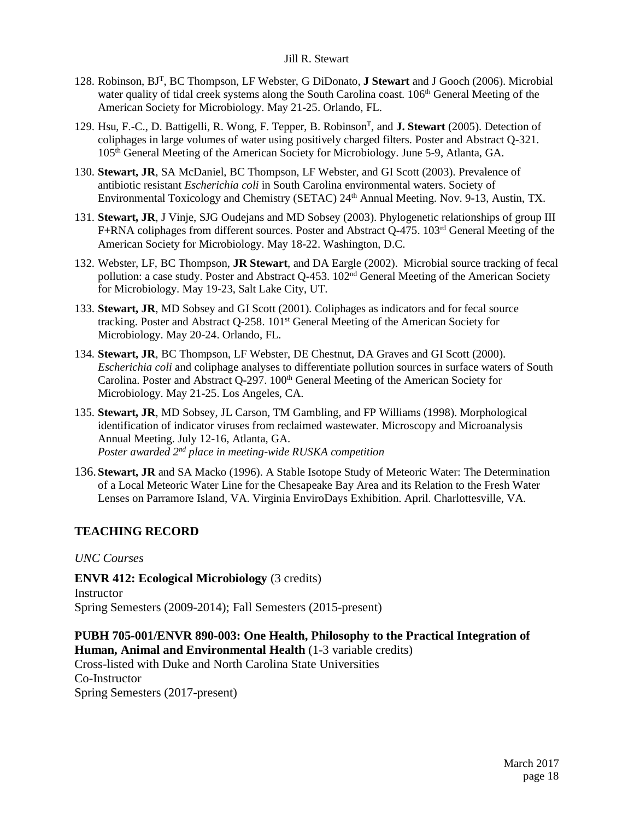- 128. Robinson, BJT, BC Thompson, LF Webster, G DiDonato, **J Stewart** and J Gooch (2006). Microbial water quality of tidal creek systems along the South Carolina coast.  $106<sup>th</sup>$  General Meeting of the American Society for Microbiology. May 21-25. Orlando, FL.
- 129. Hsu, F.-C., D. Battigelli, R. Wong, F. Tepper, B. RobinsonT, and **J. Stewart** (2005). Detection of coliphages in large volumes of water using positively charged filters. Poster and Abstract Q-321. 105th General Meeting of the American Society for Microbiology. June 5-9, Atlanta, GA.
- 130. **Stewart, JR**, SA McDaniel, BC Thompson, LF Webster, and GI Scott (2003). Prevalence of antibiotic resistant *Escherichia coli* in South Carolina environmental waters. Society of Environmental Toxicology and Chemistry (SETAC) 24<sup>th</sup> Annual Meeting. Nov. 9-13, Austin, TX.
- 131. **Stewart, JR**, J Vinje, SJG Oudejans and MD Sobsey (2003). Phylogenetic relationships of group III F+RNA coliphages from different sources. Poster and Abstract Q-475. 103rd General Meeting of the American Society for Microbiology. May 18-22. Washington, D.C.
- 132. Webster, LF, BC Thompson, **JR Stewart**, and DA Eargle (2002). Microbial source tracking of fecal pollution: a case study. Poster and Abstract Q-453. 102nd General Meeting of the American Society for Microbiology. May 19-23, Salt Lake City, UT.
- 133. **Stewart, JR**, MD Sobsey and GI Scott (2001). Coliphages as indicators and for fecal source tracking. Poster and Abstract Q-258. 101st General Meeting of the American Society for Microbiology. May 20-24. Orlando, FL.
- 134. **Stewart, JR**, BC Thompson, LF Webster, DE Chestnut, DA Graves and GI Scott (2000). *Escherichia coli* and coliphage analyses to differentiate pollution sources in surface waters of South Carolina. Poster and Abstract Q-297. 100<sup>th</sup> General Meeting of the American Society for Microbiology. May 21-25. Los Angeles, CA.
- 135. **Stewart, JR**, MD Sobsey, JL Carson, TM Gambling, and FP Williams (1998). Morphological identification of indicator viruses from reclaimed wastewater. Microscopy and Microanalysis Annual Meeting. July 12-16, Atlanta, GA. *Poster awarded 2nd place in meeting-wide RUSKA competition*
- 136. **Stewart, JR** and SA Macko (1996). A Stable Isotope Study of Meteoric Water: The Determination of a Local Meteoric Water Line for the Chesapeake Bay Area and its Relation to the Fresh Water Lenses on Parramore Island, VA. Virginia EnviroDays Exhibition. April. Charlottesville, VA.

# **TEACHING RECORD**

### *UNC Courses*

**ENVR 412: Ecological Microbiology** (3 credits) **Instructor** Spring Semesters (2009-2014); Fall Semesters (2015-present)

# **PUBH 705-001/ENVR 890-003: One Health, Philosophy to the Practical Integration of Human, Animal and Environmental Health** (1-3 variable credits)

Cross-listed with Duke and North Carolina State Universities Co-Instructor Spring Semesters (2017-present)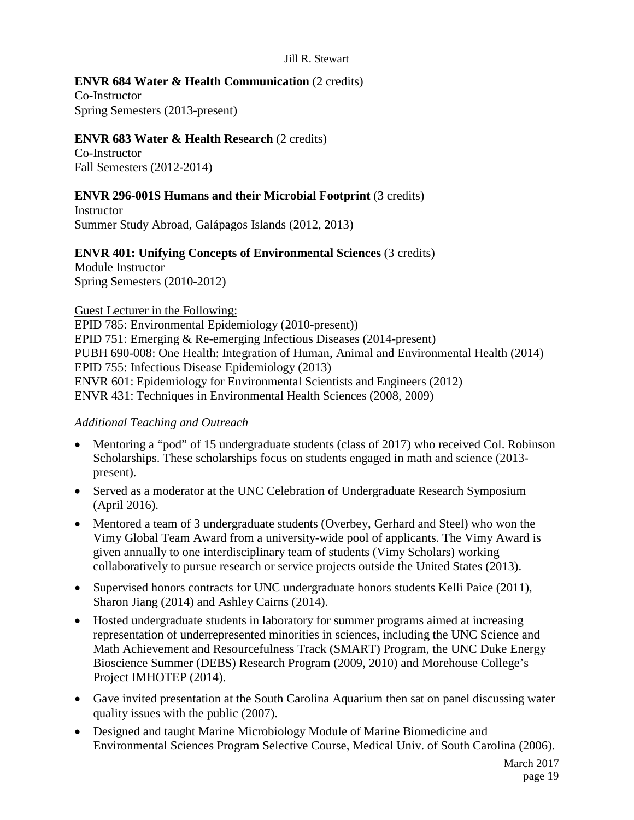# **ENVR 684 Water & Health Communication** (2 credits)

Co-Instructor Spring Semesters (2013-present)

# **ENVR 683 Water & Health Research** (2 credits)

Co-Instructor Fall Semesters (2012-2014)

# **ENVR 296-001S Humans and their Microbial Footprint** (3 credits)

**Instructor** Summer Study Abroad, Galápagos Islands (2012, 2013)

# **ENVR 401: Unifying Concepts of Environmental Sciences** (3 credits)

Module Instructor Spring Semesters (2010-2012)

Guest Lecturer in the Following:

EPID 785: Environmental Epidemiology (2010-present)) EPID 751: Emerging & Re-emerging Infectious Diseases (2014-present) PUBH 690-008: One Health: Integration of Human, Animal and Environmental Health (2014) EPID 755: Infectious Disease Epidemiology (2013) ENVR 601: Epidemiology for Environmental Scientists and Engineers (2012) ENVR 431: Techniques in Environmental Health Sciences (2008, 2009)

# *Additional Teaching and Outreach*

- Mentoring a "pod" of 15 undergraduate students (class of 2017) who received Col. Robinson Scholarships. These scholarships focus on students engaged in math and science (2013 present).
- Served as a moderator at the UNC Celebration of Undergraduate Research Symposium (April 2016).
- Mentored a team of 3 undergraduate students (Overbey, Gerhard and Steel) who won the Vimy Global Team Award from a university-wide pool of applicants. The Vimy Award is given annually to one interdisciplinary team of students (Vimy Scholars) working collaboratively to pursue research or service projects outside the United States (2013).
- Supervised honors contracts for UNC undergraduate honors students Kelli Paice (2011), Sharon Jiang (2014) and Ashley Cairns (2014).
- Hosted undergraduate students in laboratory for summer programs aimed at increasing representation of underrepresented minorities in sciences, including the UNC Science and Math Achievement and Resourcefulness Track (SMART) Program, the UNC Duke Energy Bioscience Summer (DEBS) Research Program (2009, 2010) and Morehouse College's Project IMHOTEP (2014).
- Gave invited presentation at the South Carolina Aquarium then sat on panel discussing water quality issues with the public (2007).
- Designed and taught Marine Microbiology Module of Marine Biomedicine and Environmental Sciences Program Selective Course, Medical Univ. of South Carolina (2006).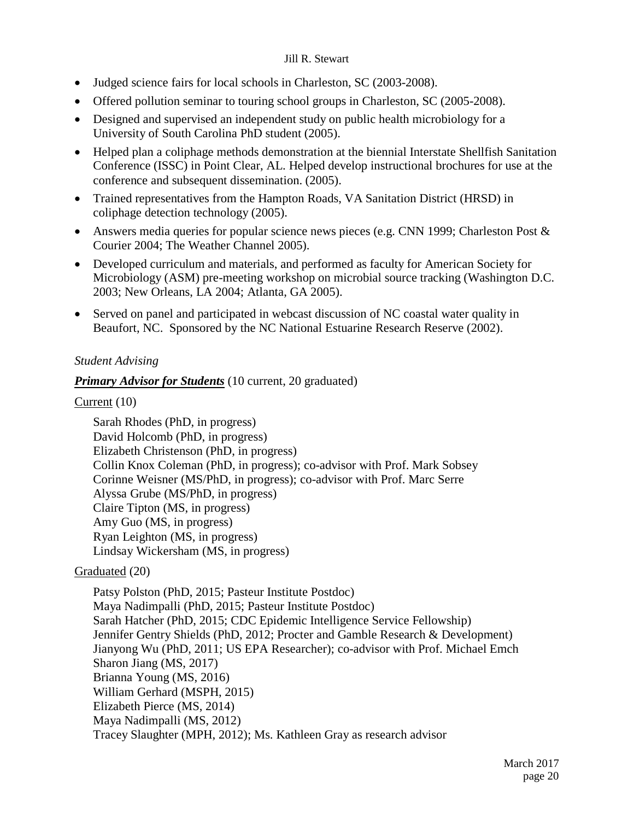- Judged science fairs for local schools in Charleston, SC (2003-2008).
- Offered pollution seminar to touring school groups in Charleston, SC (2005-2008).
- Designed and supervised an independent study on public health microbiology for a University of South Carolina PhD student (2005).
- Helped plan a coliphage methods demonstration at the biennial Interstate Shellfish Sanitation Conference (ISSC) in Point Clear, AL. Helped develop instructional brochures for use at the conference and subsequent dissemination. (2005).
- Trained representatives from the Hampton Roads, VA Sanitation District (HRSD) in coliphage detection technology (2005).
- Answers media queries for popular science news pieces (e.g. CNN 1999; Charleston Post & Courier 2004; The Weather Channel 2005).
- Developed curriculum and materials, and performed as faculty for American Society for Microbiology (ASM) pre-meeting workshop on microbial source tracking (Washington D.C. 2003; New Orleans, LA 2004; Atlanta, GA 2005).
- Served on panel and participated in webcast discussion of NC coastal water quality in Beaufort, NC. Sponsored by the NC National Estuarine Research Reserve (2002).

# *Student Advising*

# *Primary Advisor for Students* (10 current, 20 graduated)

# Current (10)

Sarah Rhodes (PhD, in progress) David Holcomb (PhD, in progress) Elizabeth Christenson (PhD, in progress) Collin Knox Coleman (PhD, in progress); co-advisor with Prof. Mark Sobsey Corinne Weisner (MS/PhD, in progress); co-advisor with Prof. Marc Serre Alyssa Grube (MS/PhD, in progress) Claire Tipton (MS, in progress) Amy Guo (MS, in progress) Ryan Leighton (MS, in progress) Lindsay Wickersham (MS, in progress)

# Graduated (20)

Patsy Polston (PhD, 2015; Pasteur Institute Postdoc) Maya Nadimpalli (PhD, 2015; Pasteur Institute Postdoc) Sarah Hatcher (PhD, 2015; CDC Epidemic Intelligence Service Fellowship) Jennifer Gentry Shields (PhD, 2012; Procter and Gamble Research & Development) Jianyong Wu (PhD, 2011; US EPA Researcher); co-advisor with Prof. Michael Emch Sharon Jiang (MS, 2017) Brianna Young (MS, 2016) William Gerhard (MSPH, 2015) Elizabeth Pierce (MS, 2014) Maya Nadimpalli (MS, 2012) Tracey Slaughter (MPH, 2012); Ms. Kathleen Gray as research advisor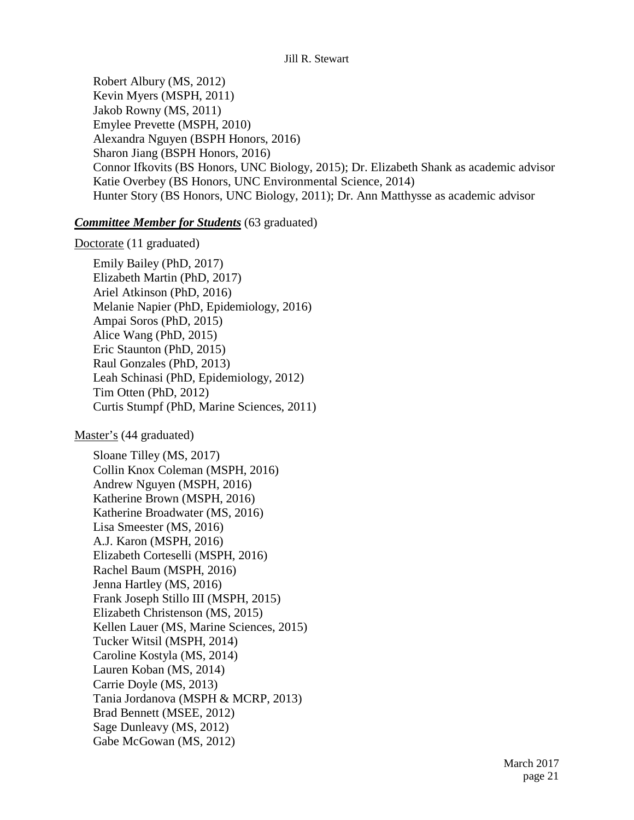Robert Albury (MS, 2012) Kevin Myers (MSPH, 2011) Jakob Rowny (MS, 2011) Emylee Prevette (MSPH, 2010) Alexandra Nguyen (BSPH Honors, 2016) Sharon Jiang (BSPH Honors, 2016) Connor Ifkovits (BS Honors, UNC Biology, 2015); Dr. Elizabeth Shank as academic advisor Katie Overbey (BS Honors, UNC Environmental Science, 2014) Hunter Story (BS Honors, UNC Biology, 2011); Dr. Ann Matthysse as academic advisor

### *Committee Member for Students* (63 graduated)

### Doctorate (11 graduated)

Emily Bailey (PhD, 2017) Elizabeth Martin (PhD, 2017) Ariel Atkinson (PhD, 2016) Melanie Napier (PhD, Epidemiology, 2016) Ampai Soros (PhD, 2015) Alice Wang (PhD, 2015) Eric Staunton (PhD, 2015) Raul Gonzales (PhD, 2013) Leah Schinasi (PhD, Epidemiology, 2012) Tim Otten (PhD, 2012) Curtis Stumpf (PhD, Marine Sciences, 2011)

### Master's (44 graduated)

Sloane Tilley (MS, 2017) Collin Knox Coleman (MSPH, 2016) Andrew Nguyen (MSPH, 2016) Katherine Brown (MSPH, 2016) Katherine Broadwater (MS, 2016) Lisa Smeester (MS, 2016) A.J. Karon (MSPH, 2016) Elizabeth Corteselli (MSPH, 2016) Rachel Baum (MSPH, 2016) Jenna Hartley (MS, 2016) Frank Joseph Stillo III (MSPH, 2015) Elizabeth Christenson (MS, 2015) Kellen Lauer (MS, Marine Sciences, 2015) Tucker Witsil (MSPH, 2014) Caroline Kostyla (MS, 2014) Lauren Koban (MS, 2014) Carrie Doyle (MS, 2013) Tania Jordanova (MSPH & MCRP, 2013) Brad Bennett (MSEE, 2012) Sage Dunleavy (MS, 2012) Gabe McGowan (MS, 2012)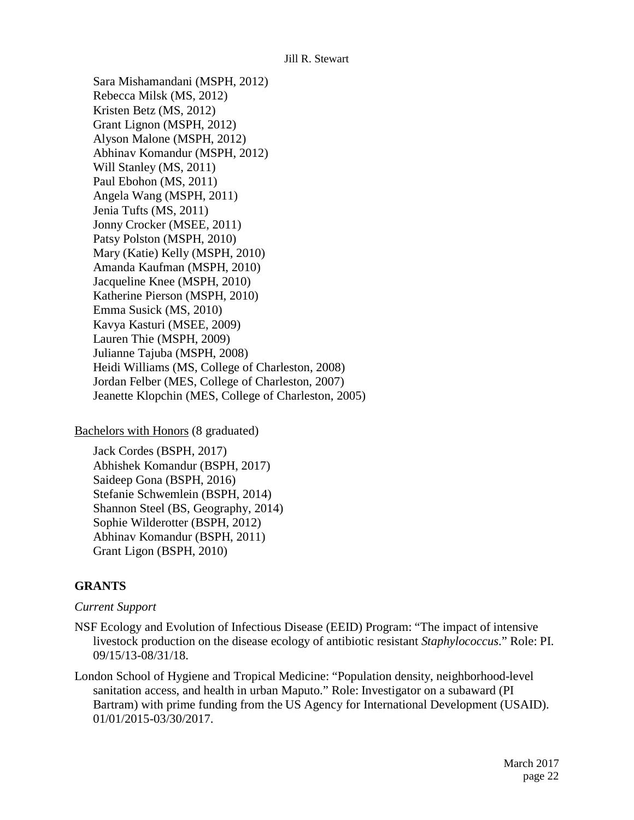Sara Mishamandani (MSPH, 2012) Rebecca Milsk (MS, 2012) Kristen Betz (MS, 2012) Grant Lignon (MSPH, 2012) Alyson Malone (MSPH, 2012) Abhinav Komandur (MSPH, 2012) Will Stanley (MS, 2011) Paul Ebohon (MS, 2011) Angela Wang (MSPH, 2011) Jenia Tufts (MS, 2011) Jonny Crocker (MSEE, 2011) Patsy Polston (MSPH, 2010) Mary (Katie) Kelly (MSPH, 2010) Amanda Kaufman (MSPH, 2010) Jacqueline Knee (MSPH, 2010) Katherine Pierson (MSPH, 2010) Emma Susick (MS, 2010) Kavya Kasturi (MSEE, 2009) Lauren Thie (MSPH, 2009) Julianne Tajuba (MSPH, 2008) Heidi Williams (MS, College of Charleston, 2008) Jordan Felber (MES, College of Charleston, 2007) Jeanette Klopchin (MES, College of Charleston, 2005)

Bachelors with Honors (8 graduated)

Jack Cordes (BSPH, 2017) Abhishek Komandur (BSPH, 2017) Saideep Gona (BSPH, 2016) Stefanie Schwemlein (BSPH, 2014) Shannon Steel (BS, Geography, 2014) Sophie Wilderotter (BSPH, 2012) Abhinav Komandur (BSPH, 2011) Grant Ligon (BSPH, 2010)

# **GRANTS**

### *Current Support*

- NSF Ecology and Evolution of Infectious Disease (EEID) Program: "The impact of intensive livestock production on the disease ecology of antibiotic resistant *Staphylococcus*." Role: PI. 09/15/13-08/31/18.
- London School of Hygiene and Tropical Medicine: "Population density, neighborhood-level sanitation access, and health in urban Maputo." Role: Investigator on a subaward (PI Bartram) with prime funding from the US Agency for International Development (USAID). 01/01/2015-03/30/2017.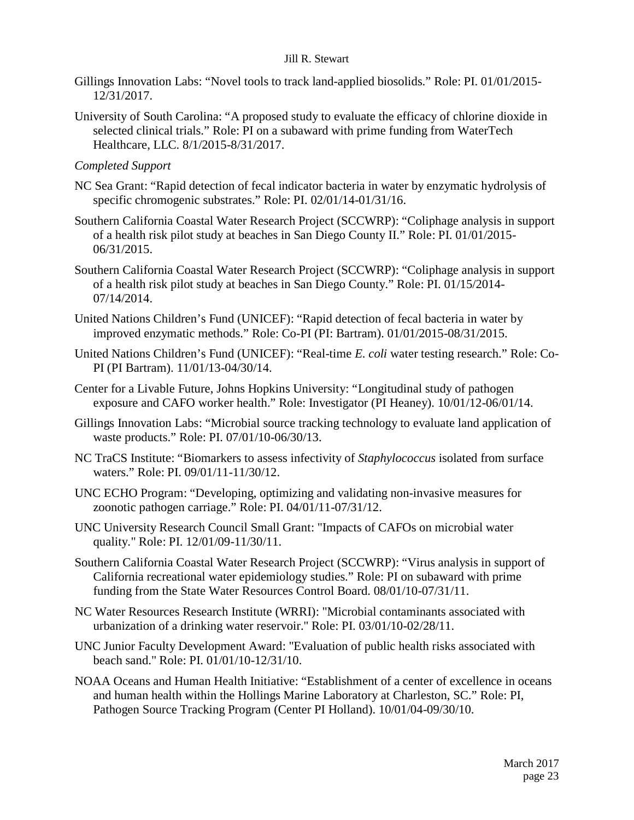- Gillings Innovation Labs: "Novel tools to track land-applied biosolids." Role: PI. 01/01/2015- 12/31/2017.
- University of South Carolina: "A proposed study to evaluate the efficacy of chlorine dioxide in selected clinical trials." Role: PI on a subaward with prime funding from WaterTech Healthcare, LLC. 8/1/2015-8/31/2017.
- *Completed Support*
- NC Sea Grant: "Rapid detection of fecal indicator bacteria in water by enzymatic hydrolysis of specific chromogenic substrates." Role: PI. 02/01/14-01/31/16.
- Southern California Coastal Water Research Project (SCCWRP): "Coliphage analysis in support of a health risk pilot study at beaches in San Diego County II." Role: PI. 01/01/2015- 06/31/2015.
- Southern California Coastal Water Research Project (SCCWRP): "Coliphage analysis in support of a health risk pilot study at beaches in San Diego County." Role: PI. 01/15/2014- 07/14/2014.
- United Nations Children's Fund (UNICEF): "Rapid detection of fecal bacteria in water by improved enzymatic methods." Role: Co-PI (PI: Bartram). 01/01/2015-08/31/2015.
- United Nations Children's Fund (UNICEF): "Real-time *E. coli* water testing research." Role: Co-PI (PI Bartram). 11/01/13-04/30/14.
- Center for a Livable Future, Johns Hopkins University: "Longitudinal study of pathogen exposure and CAFO worker health." Role: Investigator (PI Heaney). 10/01/12-06/01/14.
- Gillings Innovation Labs: "Microbial source tracking technology to evaluate land application of waste products." Role: PI. 07/01/10-06/30/13.
- NC TraCS Institute: "Biomarkers to assess infectivity of *Staphylococcus* isolated from surface waters." Role: PI. 09/01/11-11/30/12.
- UNC ECHO Program: "Developing, optimizing and validating non-invasive measures for zoonotic pathogen carriage." Role: PI. 04/01/11-07/31/12.
- UNC University Research Council Small Grant: "Impacts of CAFOs on microbial water quality." Role: PI. 12/01/09-11/30/11.
- Southern California Coastal Water Research Project (SCCWRP): "Virus analysis in support of California recreational water epidemiology studies." Role: PI on subaward with prime funding from the State Water Resources Control Board. 08/01/10-07/31/11.
- NC Water Resources Research Institute (WRRI): "Microbial contaminants associated with urbanization of a drinking water reservoir." Role: PI. 03/01/10-02/28/11.
- UNC Junior Faculty Development Award: "Evaluation of public health risks associated with beach sand." Role: PI. 01/01/10-12/31/10.
- NOAA Oceans and Human Health Initiative: "Establishment of a center of excellence in oceans and human health within the Hollings Marine Laboratory at Charleston, SC." Role: PI, Pathogen Source Tracking Program (Center PI Holland). 10/01/04-09/30/10.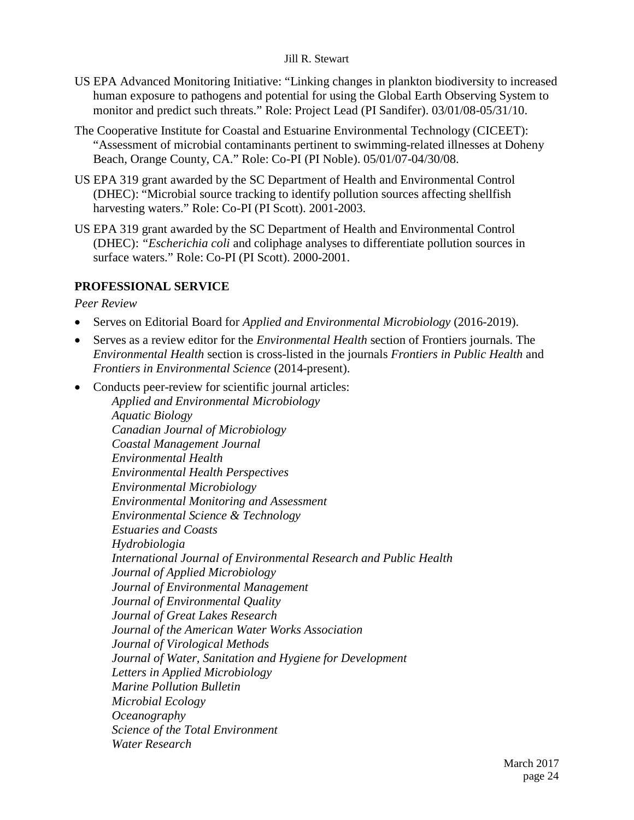- US EPA Advanced Monitoring Initiative: "Linking changes in plankton biodiversity to increased human exposure to pathogens and potential for using the Global Earth Observing System to monitor and predict such threats." Role: Project Lead (PI Sandifer). 03/01/08-05/31/10.
- The Cooperative Institute for Coastal and Estuarine Environmental Technology (CICEET): "Assessment of microbial contaminants pertinent to swimming-related illnesses at Doheny Beach, Orange County, CA." Role: Co-PI (PI Noble). 05/01/07-04/30/08.
- US EPA 319 grant awarded by the SC Department of Health and Environmental Control (DHEC): "Microbial source tracking to identify pollution sources affecting shellfish harvesting waters." Role: Co-PI (PI Scott). 2001-2003.
- US EPA 319 grant awarded by the SC Department of Health and Environmental Control (DHEC): *"Escherichia coli* and coliphage analyses to differentiate pollution sources in surface waters." Role: Co-PI (PI Scott). 2000-2001.

# **PROFESSIONAL SERVICE**

*Peer Review*

- Serves on Editorial Board for *Applied and Environmental Microbiology* (2016-2019).
- Serves as a review editor for the *Environmental Health* section of Frontiers journals. The *Environmental Health* section is cross-listed in the journals *Frontiers in Public Health* and *Frontiers in Environmental Science* (2014-present).
- Conducts peer-review for scientific journal articles: *Applied and Environmental Microbiology Aquatic Biology Canadian Journal of Microbiology Coastal Management Journal Environmental Health Environmental Health Perspectives Environmental Microbiology Environmental Monitoring and Assessment Environmental Science & Technology Estuaries and Coasts Hydrobiologia International Journal of Environmental Research and Public Health Journal of Applied Microbiology Journal of Environmental Management Journal of Environmental Quality Journal of Great Lakes Research Journal of the American Water Works Association Journal of Virological Methods Journal of Water, Sanitation and Hygiene for Development Letters in Applied Microbiology Marine Pollution Bulletin Microbial Ecology Oceanography Science of the Total Environment Water Research*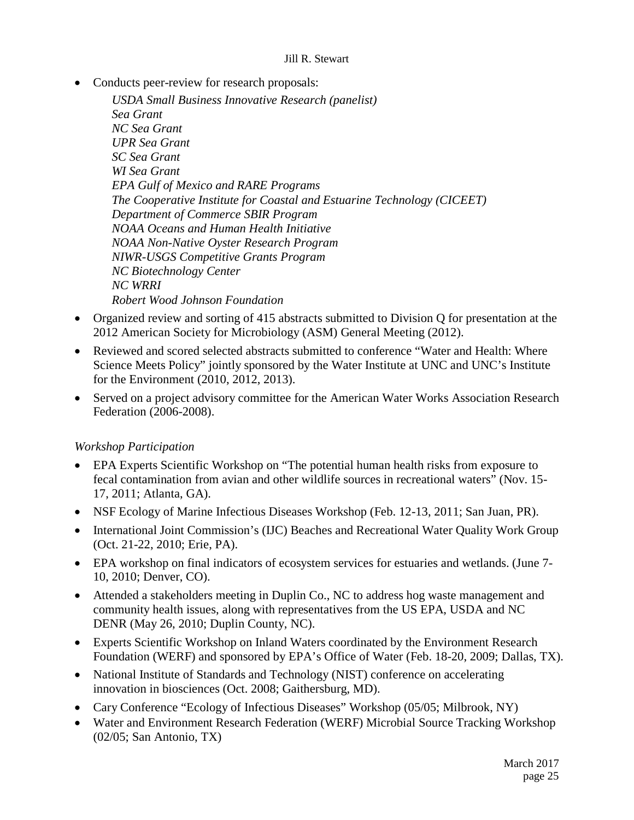• Conducts peer-review for research proposals:

*USDA Small Business Innovative Research (panelist) Sea Grant NC Sea Grant UPR Sea Grant SC Sea Grant WI Sea Grant EPA Gulf of Mexico and RARE Programs The Cooperative Institute for Coastal and Estuarine Technology (CICEET) Department of Commerce SBIR Program NOAA Oceans and Human Health Initiative NOAA Non-Native Oyster Research Program NIWR-USGS Competitive Grants Program NC Biotechnology Center NC WRRI Robert Wood Johnson Foundation*

- Organized review and sorting of 415 abstracts submitted to Division Q for presentation at the 2012 American Society for Microbiology (ASM) General Meeting (2012).
- Reviewed and scored selected abstracts submitted to conference "Water and Health: Where Science Meets Policy" jointly sponsored by the Water Institute at UNC and UNC's Institute for the Environment (2010, 2012, 2013).
- Served on a project advisory committee for the American Water Works Association Research Federation (2006-2008).

# *Workshop Participation*

- EPA Experts Scientific Workshop on "The potential human health risks from exposure to fecal contamination from avian and other wildlife sources in recreational waters" (Nov. 15- 17, 2011; Atlanta, GA).
- NSF Ecology of Marine Infectious Diseases Workshop (Feb. 12-13, 2011; San Juan, PR).
- International Joint Commission's (IJC) Beaches and Recreational Water Quality Work Group (Oct. 21-22, 2010; Erie, PA).
- EPA workshop on final indicators of ecosystem services for estuaries and wetlands. (June 7- 10, 2010; Denver, CO).
- Attended a stakeholders meeting in Duplin Co., NC to address hog waste management and community health issues, along with representatives from the US EPA, USDA and NC DENR (May 26, 2010; Duplin County, NC).
- Experts Scientific Workshop on Inland Waters coordinated by the Environment Research Foundation (WERF) and sponsored by EPA's Office of Water (Feb. 18-20, 2009; Dallas, TX).
- National Institute of Standards and Technology (NIST) conference on accelerating innovation in biosciences (Oct. 2008; Gaithersburg, MD).
- Cary Conference "Ecology of Infectious Diseases" Workshop (05/05; Milbrook, NY)
- Water and Environment Research Federation (WERF) Microbial Source Tracking Workshop (02/05; San Antonio, TX)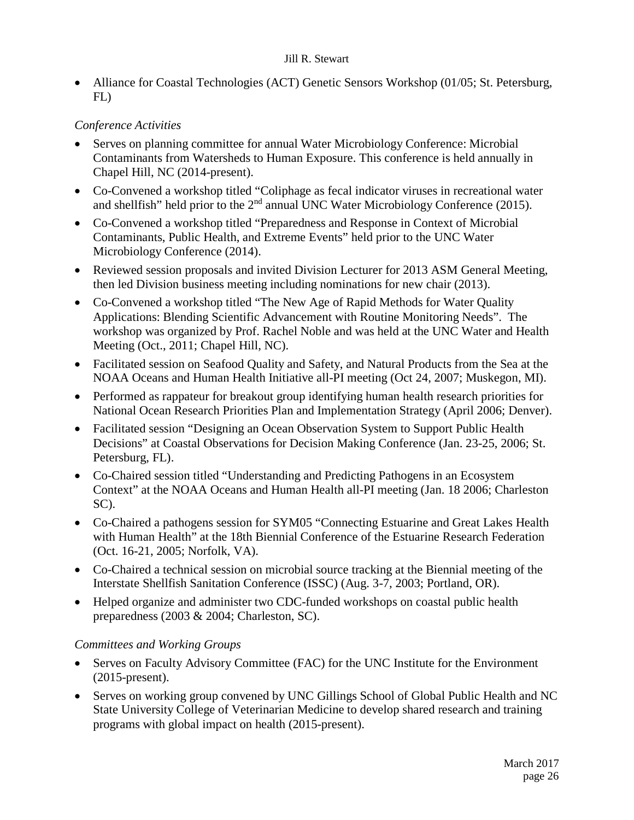• Alliance for Coastal Technologies (ACT) Genetic Sensors Workshop (01/05; St. Petersburg, FL)

# *Conference Activities*

- Serves on planning committee for annual Water Microbiology Conference: Microbial Contaminants from Watersheds to Human Exposure. This conference is held annually in Chapel Hill, NC (2014-present).
- Co-Convened a workshop titled "Coliphage as fecal indicator viruses in recreational water and shellfish" held prior to the 2<sup>nd</sup> annual UNC Water Microbiology Conference (2015).
- Co-Convened a workshop titled "Preparedness and Response in Context of Microbial Contaminants, Public Health, and Extreme Events" held prior to the UNC Water Microbiology Conference (2014).
- Reviewed session proposals and invited Division Lecturer for 2013 ASM General Meeting, then led Division business meeting including nominations for new chair (2013).
- Co-Convened a workshop titled "The New Age of Rapid Methods for Water Quality Applications: Blending Scientific Advancement with Routine Monitoring Needs". The workshop was organized by Prof. Rachel Noble and was held at the UNC Water and Health Meeting (Oct., 2011; Chapel Hill, NC).
- Facilitated session on Seafood Quality and Safety, and Natural Products from the Sea at the NOAA Oceans and Human Health Initiative all-PI meeting (Oct 24, 2007; Muskegon, MI).
- Performed as rappateur for breakout group identifying human health research priorities for National Ocean Research Priorities Plan and Implementation Strategy (April 2006; Denver).
- Facilitated session "Designing an Ocean Observation System to Support Public Health Decisions" at Coastal Observations for Decision Making Conference (Jan. 23-25, 2006; St. Petersburg, FL).
- Co-Chaired session titled "Understanding and Predicting Pathogens in an Ecosystem Context" at the NOAA Oceans and Human Health all-PI meeting (Jan. 18 2006; Charleston SC).
- Co-Chaired a pathogens session for SYM05 "Connecting Estuarine and Great Lakes Health with Human Health" at the 18th Biennial Conference of the Estuarine Research Federation (Oct. 16-21, 2005; Norfolk, VA).
- Co-Chaired a technical session on microbial source tracking at the Biennial meeting of the Interstate Shellfish Sanitation Conference (ISSC) (Aug. 3-7, 2003; Portland, OR).
- Helped organize and administer two CDC-funded workshops on coastal public health preparedness (2003 & 2004; Charleston, SC).

# *Committees and Working Groups*

- Serves on Faculty Advisory Committee (FAC) for the UNC Institute for the Environment (2015-present).
- Serves on working group convened by UNC Gillings School of Global Public Health and NC State University College of Veterinarian Medicine to develop shared research and training programs with global impact on health (2015-present).